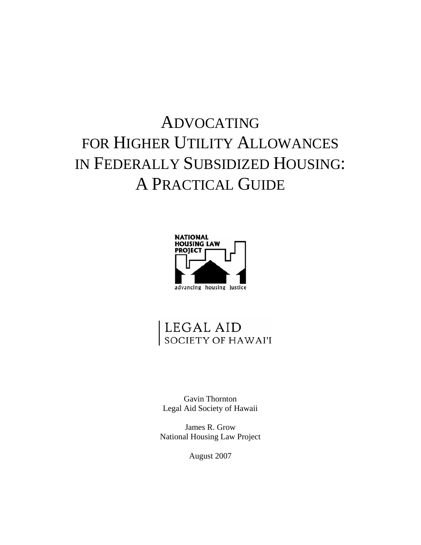# ADVOCATING FOR HIGHER UTILITY ALLOWANCES IN FEDERALLY SUBSIDIZED HOUSING: A PRACTICAL GUIDE



# LEGAL AID<br>society of hawai'i

Gavin Thornton Legal Aid Society of Hawaii

James R. Grow National Housing Law Project

August 2007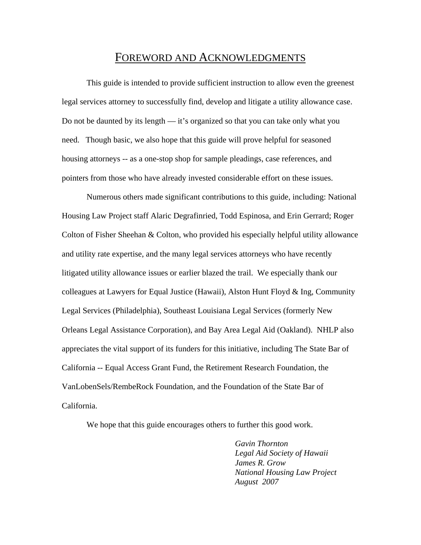## FOREWORD AND ACKNOWLEDGMENTS

This guide is intended to provide sufficient instruction to allow even the greenest legal services attorney to successfully find, develop and litigate a utility allowance case. Do not be daunted by its length — it's organized so that you can take only what you need. Though basic, we also hope that this guide will prove helpful for seasoned housing attorneys -- as a one-stop shop for sample pleadings, case references, and pointers from those who have already invested considerable effort on these issues.

Numerous others made significant contributions to this guide, including: National Housing Law Project staff Alaric Degrafinried, Todd Espinosa, and Erin Gerrard; Roger Colton of Fisher Sheehan & Colton, who provided his especially helpful utility allowance and utility rate expertise, and the many legal services attorneys who have recently litigated utility allowance issues or earlier blazed the trail. We especially thank our colleagues at Lawyers for Equal Justice (Hawaii), Alston Hunt Floyd  $\&$  Ing, Community Legal Services (Philadelphia), Southeast Louisiana Legal Services (formerly New Orleans Legal Assistance Corporation), and Bay Area Legal Aid (Oakland). NHLP also appreciates the vital support of its funders for this initiative, including The State Bar of California -- Equal Access Grant Fund, the Retirement Research Foundation, the VanLobenSels/RembeRock Foundation, and the Foundation of the State Bar of California.

We hope that this guide encourages others to further this good work.

*Gavin Thornton Legal Aid Society of Hawaii James R. Grow National Housing Law Project August 2007*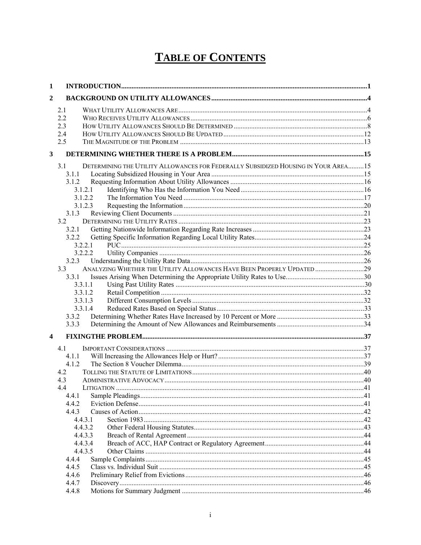## **TABLE OF CONTENTS**

| $\mathbf{1}$ |                                                                                            |  |
|--------------|--------------------------------------------------------------------------------------------|--|
| 2            |                                                                                            |  |
|              | 2.1                                                                                        |  |
|              | 2.2                                                                                        |  |
|              | 2.3                                                                                        |  |
|              | 2.4                                                                                        |  |
|              | 2.5                                                                                        |  |
| $\mathbf{3}$ |                                                                                            |  |
|              | DETERMINING THE UTILITY ALLOWANCES FOR FEDERALLY SUBSIDIZED HOUSING IN YOUR AREA 15<br>3.1 |  |
|              | 3.1.1                                                                                      |  |
|              | 3.1.2                                                                                      |  |
|              | 3.1.2.1                                                                                    |  |
|              | 3.1.2.2                                                                                    |  |
|              | 3.1.2.3                                                                                    |  |
|              | 3.1.3                                                                                      |  |
|              | 3.2                                                                                        |  |
|              | 3.2.1                                                                                      |  |
|              | 3.2.2                                                                                      |  |
|              | 3.2.2.1                                                                                    |  |
|              | 3.2.2.2                                                                                    |  |
|              | 3.2.3                                                                                      |  |
|              | ANALYZING WHETHER THE UTILITY ALLOWANCES HAVE BEEN PROPERLY UPDATED29<br>3.3               |  |
|              | 3.3.1                                                                                      |  |
|              | 3.3.1.1                                                                                    |  |
|              | 3.3.1.2                                                                                    |  |
|              | 3.3.1.3                                                                                    |  |
|              | 3.3.1.4                                                                                    |  |
|              | 3.3.2                                                                                      |  |
|              | 3.3.3                                                                                      |  |
| 4            |                                                                                            |  |
|              | 4.1                                                                                        |  |
|              | 4.1.1                                                                                      |  |
|              | 4.1.2                                                                                      |  |
|              | 4.2                                                                                        |  |
|              | 4.3                                                                                        |  |
|              | 4.4                                                                                        |  |
|              | 4.4.1                                                                                      |  |
|              | 4.4.2                                                                                      |  |
|              | 4.4.3                                                                                      |  |
|              | 4.4.3.1                                                                                    |  |
|              | 4.4.3.2                                                                                    |  |
|              | 4.4.3.3                                                                                    |  |
|              | 4.4.3.4                                                                                    |  |
|              | 4.4.3.5                                                                                    |  |
|              | 4.4.4                                                                                      |  |
|              | 4.4.5                                                                                      |  |
|              | 4.4.6                                                                                      |  |
|              | 4.4.7                                                                                      |  |
|              | 4.4.8                                                                                      |  |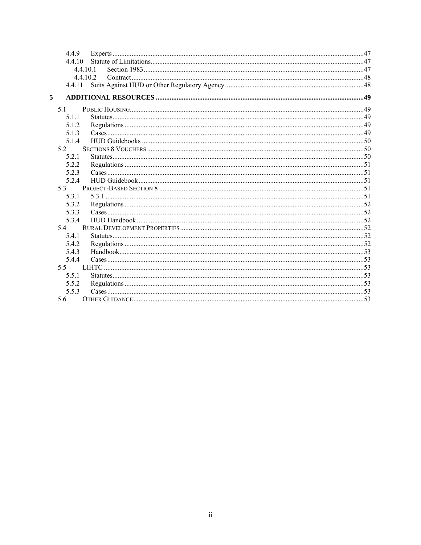| 4.4.9  |                                                                                                                                                                                                                                |  |
|--------|--------------------------------------------------------------------------------------------------------------------------------------------------------------------------------------------------------------------------------|--|
| 4.4.10 |                                                                                                                                                                                                                                |  |
|        | 4.4.10.1                                                                                                                                                                                                                       |  |
|        | 44102                                                                                                                                                                                                                          |  |
| 4.4.11 |                                                                                                                                                                                                                                |  |
| 5      |                                                                                                                                                                                                                                |  |
| 5.1    |                                                                                                                                                                                                                                |  |
| 5.1.1  | 84 million communication and communication of the communication of the communication of the communication of the communication of the communication of the communication of the communication of the communication of the comm |  |
| 5.1.2  |                                                                                                                                                                                                                                |  |
| 5.1.3  |                                                                                                                                                                                                                                |  |
| 5.1.4  |                                                                                                                                                                                                                                |  |
| 52     |                                                                                                                                                                                                                                |  |
| 5.2.1  |                                                                                                                                                                                                                                |  |
| 5.2.2  |                                                                                                                                                                                                                                |  |
| 5.2.3  |                                                                                                                                                                                                                                |  |
| 5.2.4  |                                                                                                                                                                                                                                |  |
| 53     |                                                                                                                                                                                                                                |  |
| 5.3.1  |                                                                                                                                                                                                                                |  |
| 5.3.2  |                                                                                                                                                                                                                                |  |
| 5.3.3  |                                                                                                                                                                                                                                |  |
| 5.3.4  |                                                                                                                                                                                                                                |  |
| 5.4    |                                                                                                                                                                                                                                |  |
| 541    |                                                                                                                                                                                                                                |  |
| 5.4.2  |                                                                                                                                                                                                                                |  |
| 5.4.3  |                                                                                                                                                                                                                                |  |
| 5.4.4  |                                                                                                                                                                                                                                |  |
| 5.5    |                                                                                                                                                                                                                                |  |
| 5.5.1  |                                                                                                                                                                                                                                |  |
| 5.5.2  |                                                                                                                                                                                                                                |  |
| 5.5.3  |                                                                                                                                                                                                                                |  |
| 5.6    |                                                                                                                                                                                                                                |  |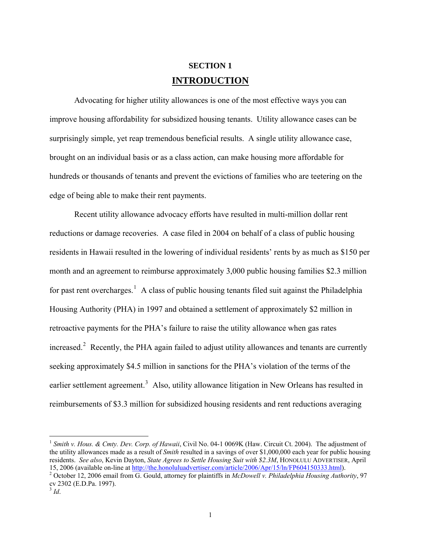## **SECTION 1 INTRODUCTION**

<span id="page-4-0"></span>Advocating for higher utility allowances is one of the most effective ways you can improve housing affordability for subsidized housing tenants. Utility allowance cases can be surprisingly simple, yet reap tremendous beneficial results. A single utility allowance case, brought on an individual basis or as a class action, can make housing more affordable for hundreds or thousands of tenants and prevent the evictions of families who are teetering on the edge of being able to make their rent payments.

Recent utility allowance advocacy efforts have resulted in multi-million dollar rent reductions or damage recoveries. A case filed in 2004 on behalf of a class of public housing residents in Hawaii resulted in the lowering of individual residents' rents by as much as \$150 per month and an agreement to reimburse approximately 3,000 public housing families \$2.3 million for past rent overcharges.<sup>[1](#page-4-1)</sup> A class of public housing tenants filed suit against the Philadelphia Housing Authority (PHA) in 1997 and obtained a settlement of approximately \$2 million in retroactive payments for the PHA's failure to raise the utility allowance when gas rates increased. $2$  Recently, the PHA again failed to adjust utility allowances and tenants are currently seeking approximately \$4.5 million in sanctions for the PHA's violation of the terms of the earlier settlement agreement.<sup>[3](#page-4-3)</sup> Also, utility allowance litigation in New Orleans has resulted in reimbursements of \$3.3 million for subsidized housing residents and rent reductions averaging

 $\overline{a}$ 

<span id="page-4-1"></span><sup>&</sup>lt;sup>1</sup> *Smith v. Hous. & Cmty. Dev. Corp. of Hawaii*, Civil No. 04-1 0069K (Haw. Circuit Ct. 2004). The adjustment of the utility allowances made as a result of *Smith* resulted in a savings of over \$1,000,000 each year for public housing residents. *See also*, Kevin Dayton, *State Agrees to Settle Housing Suit with \$2.3M*, HONOLULU ADVERTISER, April 15, 2006 (available on-line at <http://the.honoluluadvertiser.com/article/2006/Apr/15/ln/FP604150333.html>). 2

<span id="page-4-3"></span><span id="page-4-2"></span>October 12, 2006 email from G. Gould, attorney for plaintiffs in *McDowell v. Philadelphia Housing Authority*, 97 cv 2302 (E.D.Pa. 1997).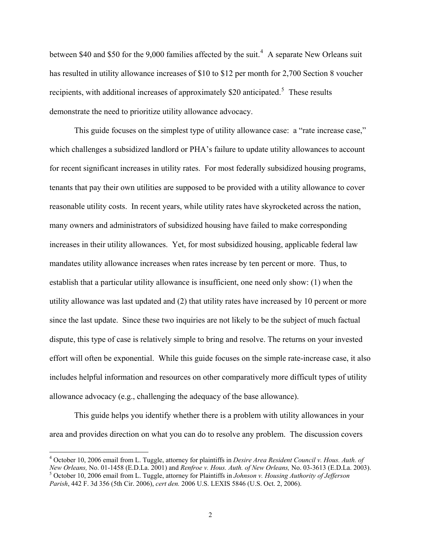between \$[4](#page-5-0)0 and \$50 for the 9,000 families affected by the suit.<sup>4</sup> A separate New Orleans suit has resulted in utility allowance increases of \$10 to \$12 per month for 2,700 Section 8 voucher recipients, with additional increases of approximately \$20 anticipated.<sup>[5](#page-5-1)</sup> These results demonstrate the need to prioritize utility allowance advocacy.

This guide focuses on the simplest type of utility allowance case: a "rate increase case," which challenges a subsidized landlord or PHA's failure to update utility allowances to account for recent significant increases in utility rates. For most federally subsidized housing programs, tenants that pay their own utilities are supposed to be provided with a utility allowance to cover reasonable utility costs. In recent years, while utility rates have skyrocketed across the nation, many owners and administrators of subsidized housing have failed to make corresponding increases in their utility allowances. Yet, for most subsidized housing, applicable federal law mandates utility allowance increases when rates increase by ten percent or more. Thus, to establish that a particular utility allowance is insufficient, one need only show: (1) when the utility allowance was last updated and (2) that utility rates have increased by 10 percent or more since the last update. Since these two inquiries are not likely to be the subject of much factual dispute, this type of case is relatively simple to bring and resolve. The returns on your invested effort will often be exponential. While this guide focuses on the simple rate-increase case, it also includes helpful information and resources on other comparatively more difficult types of utility allowance advocacy (e.g., challenging the adequacy of the base allowance).

This guide helps you identify whether there is a problem with utility allowances in your area and provides direction on what you can do to resolve any problem. The discussion covers

 $\overline{a}$ 

<span id="page-5-1"></span><span id="page-5-0"></span><sup>4</sup> October 10, 2006 email from L. Tuggle, attorney for plaintiffs in *Desire Area Resident Council v. Hous. Auth. of New Orleans,* No. 01-1458 (E.D.La. 2001) and *Renfroe v. Hous. Auth. of New Orleans,* No. 03-3613 (E.D.La. 2003). 5 October 10, 2006 email from L. Tuggle, attorney for Plaintiffs in *Johnson v. Housing Authority of Jefferson Parish*, 442 F. 3d 356 (5th Cir. 2006), *cert den.* 2006 U.S. LEXIS 5846 (U.S. Oct. 2, 2006).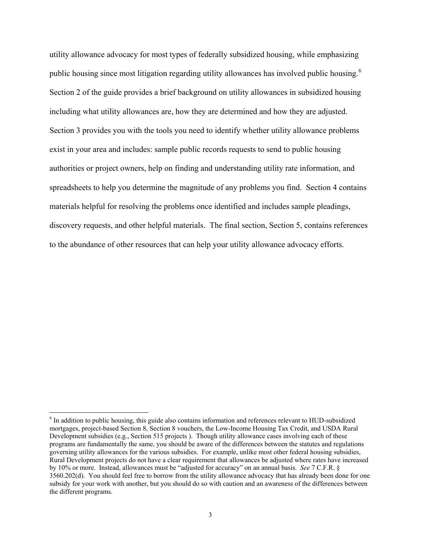utility allowance advocacy for most types of federally subsidized housing, while emphasizing public housing since most litigation regarding utility allowances has involved public housing.<sup>[6](#page-6-0)</sup> Section 2 of the guide provides a brief background on utility allowances in subsidized housing including what utility allowances are, how they are determined and how they are adjusted. Section 3 provides you with the tools you need to identify whether utility allowance problems exist in your area and includes: sample public records requests to send to public housing authorities or project owners, help on finding and understanding utility rate information, and spreadsheets to help you determine the magnitude of any problems you find. Section 4 contains materials helpful for resolving the problems once identified and includes sample pleadings, discovery requests, and other helpful materials. The final section, Section 5, contains references to the abundance of other resources that can help your utility allowance advocacy efforts.

<span id="page-6-0"></span><sup>&</sup>lt;sup>6</sup> In addition to public housing, this guide also contains information and references relevant to HUD-subsidized mortgages, project-based Section 8, Section 8 vouchers, the Low-Income Housing Tax Credit, and USDA Rural Development subsidies (e.g., Section 515 projects ). Though utility allowance cases involving each of these programs are fundamentally the same, you should be aware of the differences between the statutes and regulations governing utility allowances for the various subsidies. For example, unlike most other federal housing subsidies, Rural Development projects do not have a clear requirement that allowances be adjusted where rates have increased by 10% or more. Instead, allowances must be "adjusted for accuracy" on an annual basis. *See* 7 C.F.R. § 3560.202(d). You should feel free to borrow from the utility allowance advocacy that has already been done for one subsidy for your work with another, but you should do so with caution and an awareness of the differences between the different programs.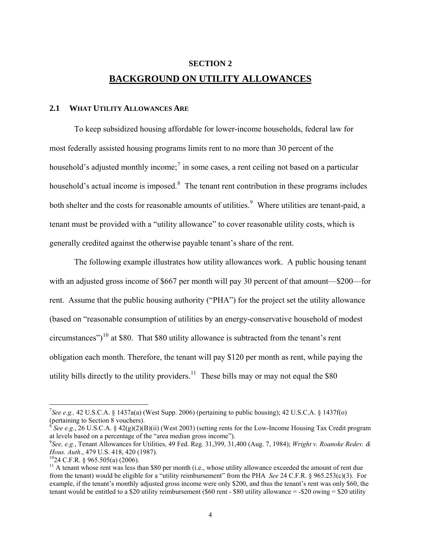## **SECTION 2 BACKGROUND ON UTILITY ALLOWANCES**

#### <span id="page-7-0"></span>**2.1 WHAT UTILITY ALLOWANCES ARE**

To keep subsidized housing affordable for lower-income households, federal law for most federally assisted housing programs limits rent to no more than 30 percent of the household's adjusted monthly income;<sup>[7](#page-7-1)</sup> in some cases, a rent ceiling not based on a particular household's actual income is imposed. $8$  The tenant rent contribution in these programs includes both shelter and the costs for reasonable amounts of utilities.<sup>[9](#page-7-3)</sup> Where utilities are tenant-paid, a tenant must be provided with a "utility allowance" to cover reasonable utility costs, which is generally credited against the otherwise payable tenant's share of the rent.

The following example illustrates how utility allowances work. A public housing tenant with an adjusted gross income of \$667 per month will pay 30 percent of that amount—\$200—for rent. Assume that the public housing authority ("PHA") for the project set the utility allowance (based on "reasonable consumption of utilities by an energy-conservative household of modest circumstances")<sup>[10](#page-7-4)</sup> at \$80. That \$80 utility allowance is subtracted from the tenant's rent obligation each month. Therefore, the tenant will pay \$120 per month as rent, while paying the utility bills directly to the utility providers.<sup>[11](#page-7-5)</sup> These bills may or may not equal the \$80

<span id="page-7-1"></span><sup>&</sup>lt;sup>7</sup>See e.g., 42 U.S.C.A. § 1437a(a) (West Supp. 2006) (pertaining to public housing); 42 U.S.C.A. § 1437f(o) (pertaining to Section 8 vouchers).

<span id="page-7-2"></span><sup>8</sup> *See e.g*., 26 U.S.C.A. § 42(g)(2)(B)(ii) (West 2003) (setting rents for the Low-Income Housing Tax Credit program at levels based on a percentage of the "area median gross income").

<span id="page-7-3"></span>*See, e.g.*, Tenant Allowances for Utilities, 49 Fed. Reg. 31,399, 31,400 (Aug. 7, 1984); *Wright v. Roanoke Redev. & Hous. Auth.*, 479 U.S. 418, 420 (1987).<br><sup>10</sup>24 C.F.R. § 965.505(a) (2006).

<span id="page-7-4"></span>

<span id="page-7-5"></span> $11$  A tenant whose rent was less than \$80 per month (i.e., whose utility allowance exceeded the amount of rent due from the tenant) would be eligible for a "utility reimbursement" from the PHA *See* 24 C.F.R. § 965.253(c)(3). For example, if the tenant's monthly adjusted gross income were only \$200, and thus the tenant's rent was only \$60, the tenant would be entitled to a \$20 utility reimbursement (\$60 rent - \$80 utility allowance  $=$  -\$20 owing  $=$  \$20 utility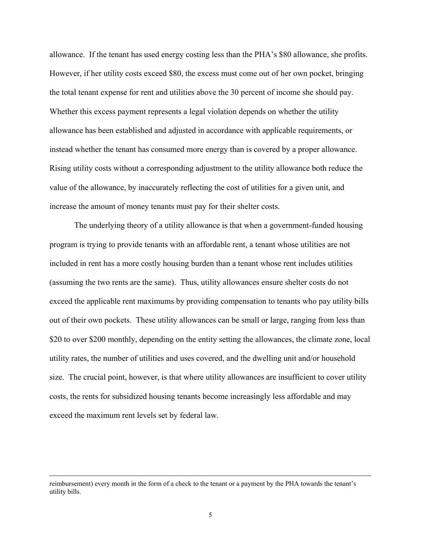allowance. If the tenant has used energy costing less than the PHA's \$80 allowance, she profits. However, if her utility costs exceed \$80, the excess must come out of her own pocket, bringing the total tenant expense for rent and utilities above the 30 percent of income she should pay. Whether this excess payment represents a legal violation depends on whether the utility allowance has been established and adjusted in accordance with applicable requirements, or instead whether the tenant has consumed more energy than is covered by a proper allowance. Rising utility costs without a corresponding adjustment to the utility allowance both reduce the value of the allowance, by inaccurately reflecting the cost of utilities for a given unit, and increase the amount of money tenants must pay for their shelter costs.

The underlying theory of a utility allowance is that when a government-funded housing program is trying to provide tenants with an affordable rent, a tenant whose utilities are not included in rent has a more costly housing burden than a tenant whose rent includes utilities (assuming the two rents are the same). Thus, utility allowances ensure shelter costs do not exceed the applicable rent maximums by providing compensation to tenants who pay utility bills out of their own pockets. These utility allowances can be small or large, ranging from less than \$20 to over \$200 monthly, depending on the entity setting the allowances, the climate zone, local utility rates, the number of utilities and uses covered, and the dwelling unit and/or household size. The crucial point, however, is that where utility allowances are insufficient to cover utility costs, the rents for subsidized housing tenants become increasingly less affordable and may exceed the maximum rent levels set by federal law.

reimbursement) every month in the form of a check to the tenant or a payment by the PHA towards the tenant's utility bills.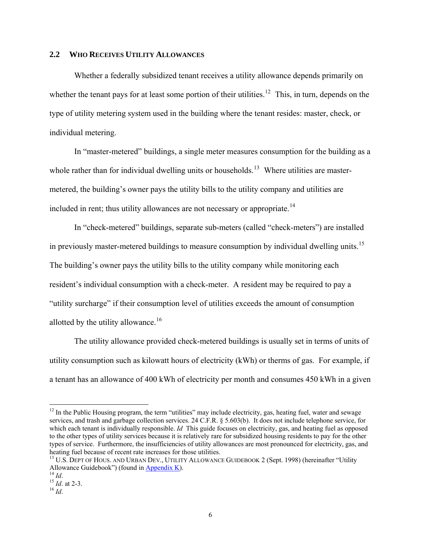#### <span id="page-9-0"></span>**2.2 WHO RECEIVES UTILITY ALLOWANCES**

Whether a federally subsidized tenant receives a utility allowance depends primarily on whether the tenant pays for at least some portion of their utilities.<sup>[12](#page-9-1)</sup> This, in turn, depends on the type of utility metering system used in the building where the tenant resides: master, check, or individual metering.

In "master-metered" buildings, a single meter measures consumption for the building as a whole rather than for individual dwelling units or households.<sup>[13](#page-9-2)</sup> Where utilities are mastermetered, the building's owner pays the utility bills to the utility company and utilities are included in rent; thus utility allowances are not necessary or appropriate.<sup>[14](#page-9-3)</sup>

In "check-metered" buildings, separate sub-meters (called "check-meters") are installed in previously master-metered buildings to measure consumption by individual dwelling units.<sup>[15](#page-9-4)</sup> The building's owner pays the utility bills to the utility company while monitoring each resident's individual consumption with a check-meter. A resident may be required to pay a "utility surcharge" if their consumption level of utilities exceeds the amount of consumption allotted by the utility allowance.<sup>[16](#page-9-5)</sup>

The utility allowance provided check-metered buildings is usually set in terms of units of utility consumption such as kilowatt hours of electricity (kWh) or therms of gas. For example, if a tenant has an allowance of 400 kWh of electricity per month and consumes 450 kWh in a given

 $\overline{a}$ 

<span id="page-9-1"></span> $12$  In the Public Housing program, the term "utilities" may include electricity, gas, heating fuel, water and sewage services, and trash and garbage collection services. 24 C.F.R. § 5.603(b). It does not include telephone service, for which each tenant is individually responsible. *Id* This guide focuses on electricity, gas, and heating fuel as opposed to the other types of utility services because it is relatively rare for subsidized housing residents to pay for the other types of service. Furthermore, the insufficiencies of utility allowances are most pronounced for electricity, gas, and heating fuel because of recent rate increases for those utilities.

<span id="page-9-2"></span><sup>&</sup>lt;sup>13</sup> U.S. DEPT OF HOUS. AND URBAN DEV., UTILITY ALLOWANCE GUIDEBOOK 2 (Sept. 1998) (hereinafter "Utility Allowance Guidebook") (found in <u>Appendix K</u>).<br><sup>14</sup> *Id*. <sup>15</sup> *Id*. at 2-3.<br><sup>16</sup> *Id*.

<span id="page-9-4"></span><span id="page-9-3"></span>

<span id="page-9-5"></span>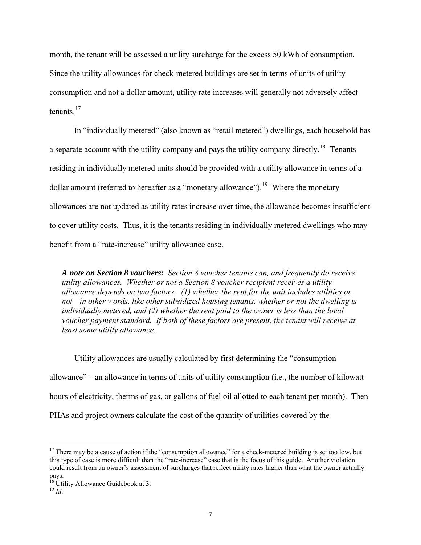month, the tenant will be assessed a utility surcharge for the excess 50 kWh of consumption. Since the utility allowances for check-metered buildings are set in terms of units of utility consumption and not a dollar amount, utility rate increases will generally not adversely affect tenants $17$ 

In "individually metered" (also known as "retail metered") dwellings, each household has a separate account with the utility company and pays the utility company directly.<sup>[18](#page-10-1)</sup> Tenants residing in individually metered units should be provided with a utility allowance in terms of a dollar amount (referred to hereafter as a "monetary allowance").<sup>[19](#page-10-2)</sup> Where the monetary allowances are not updated as utility rates increase over time, the allowance becomes insufficient to cover utility costs. Thus, it is the tenants residing in individually metered dwellings who may benefit from a "rate-increase" utility allowance case.

*A note on Section 8 vouchers: Section 8 voucher tenants can, and frequently do receive utility allowances. Whether or not a Section 8 voucher recipient receives a utility allowance depends on two factors: (1) whether the rent for the unit includes utilities or not—in other words, like other subsidized housing tenants, whether or not the dwelling is individually metered, and (2) whether the rent paid to the owner is less than the local voucher payment standard. If both of these factors are present, the tenant will receive at least some utility allowance.* 

Utility allowances are usually calculated by first determining the "consumption allowance" – an allowance in terms of units of utility consumption (i.e., the number of kilowatt hours of electricity, therms of gas, or gallons of fuel oil allotted to each tenant per month). Then PHAs and project owners calculate the cost of the quantity of utilities covered by the

 $\overline{a}$ 

<span id="page-10-0"></span> $17$  There may be a cause of action if the "consumption allowance" for a check-metered building is set too low, but this type of case is more difficult than the "rate-increase" case that is the focus of this guide. Another violation could result from an owner's assessment of surcharges that reflect utility rates higher than what the owner actually pays.

<span id="page-10-1"></span> $18 \text{ }$  Utility Allowance Guidebook at 3.

<span id="page-10-2"></span> $^{19}$  *Id.*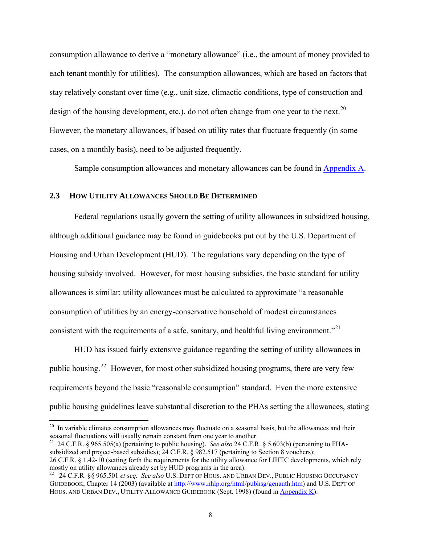<span id="page-11-0"></span>consumption allowance to derive a "monetary allowance" (i.e., the amount of money provided to each tenant monthly for utilities). The consumption allowances, which are based on factors that stay relatively constant over time (e.g., unit size, climactic conditions, type of construction and design of the housing development, etc.), do not often change from one year to the next.<sup>[20](#page-11-1)</sup> However, the monetary allowances, if based on utility rates that fluctuate frequently (in some cases, on a monthly basis), need to be adjusted frequently.

Sample consumption allowances and monetary allowances can be found in Appendix A.

#### **2.3 HOW UTILITY ALLOWANCES SHOULD BE DETERMINED**

1

Federal regulations usually govern the setting of utility allowances in subsidized housing, although additional guidance may be found in guidebooks put out by the U.S. Department of Housing and Urban Development (HUD). The regulations vary depending on the type of housing subsidy involved. However, for most housing subsidies, the basic standard for utility allowances is similar: utility allowances must be calculated to approximate "a reasonable consumption of utilities by an energy-conservative household of modest circumstances consistent with the requirements of a safe, sanitary, and healthful living environment."<sup>[21](#page-11-2)</sup>

HUD has issued fairly extensive guidance regarding the setting of utility allowances in public housing.[22](#page-11-3) However, for most other subsidized housing programs, there are very few requirements beyond the basic "reasonable consumption" standard. Even the more extensive public housing guidelines leave substantial discretion to the PHAs setting the allowances, stating

<span id="page-11-2"></span>21 24 C.F.R. § 965.505(a) (pertaining to public housing). *See also* 24 C.F.R. § 5.603(b) (pertaining to FHAsubsidized and project-based subsidies); 24 C.F.R. § 982.517 (pertaining to Section 8 vouchers); 26 C.F.R. § 1.42-10 (setting forth the requirements for the utility allowance for LIHTC developments, which rely mostly on utility allowances already set by HUD programs in the area).<br><sup>22</sup> 24 C.F.R. §§ 965.501 *et seq. See also* U.S. DEPT OF HOUS. AND URBAN DEV., PUBLIC HOUSING OCCUPANCY

<span id="page-11-1"></span><sup>&</sup>lt;sup>20</sup> In variable climates consumption allowances may fluctuate on a seasonal basis, but the allowances and their seasonal fluctuations will usually remain constant from one year to another.

<span id="page-11-3"></span>GUIDEBOOK, Chapter 14 (2003) (available at<http://www.nhlp.org/html/pubhsg/genauth.htm>) and U.S. DEPT OF HOUS. AND URBAN DEV., UTILITY ALLOWANCE GUIDEBOOK (Sept. 1998) (found in Appendix K).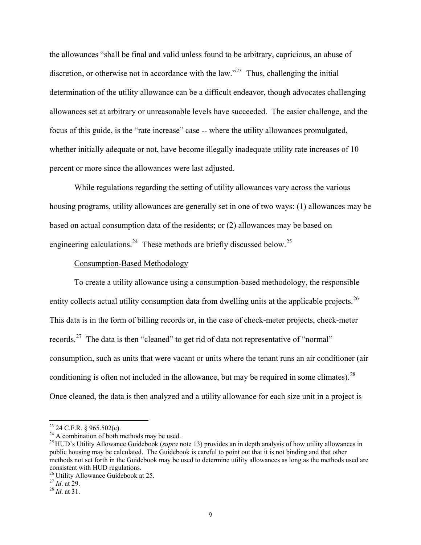the allowances "shall be final and valid unless found to be arbitrary, capricious, an abuse of discretion, or otherwise not in accordance with the law."<sup>[23](#page-12-0)</sup> Thus, challenging the initial determination of the utility allowance can be a difficult endeavor, though advocates challenging allowances set at arbitrary or unreasonable levels have succeeded. The easier challenge, and the focus of this guide, is the "rate increase" case -- where the utility allowances promulgated, whether initially adequate or not, have become illegally inadequate utility rate increases of 10 percent or more since the allowances were last adjusted.

While regulations regarding the setting of utility allowances vary across the various housing programs, utility allowances are generally set in one of two ways: (1) allowances may be based on actual consumption data of the residents; or (2) allowances may be based on engineering calculations.<sup>[24](#page-12-1)</sup> These methods are briefly discussed below.<sup>[25](#page-12-2)</sup>

#### Consumption-Based Methodology

To create a utility allowance using a consumption-based methodology, the responsible entity collects actual utility consumption data from dwelling units at the applicable projects.<sup>[26](#page-12-3)</sup> This data is in the form of billing records or, in the case of check-meter projects, check-meter records.<sup>[27](#page-12-4)</sup> The data is then "cleaned" to get rid of data not representative of "normal" consumption, such as units that were vacant or units where the tenant runs an air conditioner (air conditioning is often not included in the allowance, but may be required in some climates).  $^{28}$  $^{28}$  $^{28}$ Once cleaned, the data is then analyzed and a utility allowance for each size unit in a project is

<span id="page-12-0"></span> $23$  24 C.F.R. § 965.502(e).

<span id="page-12-1"></span><sup>&</sup>lt;sup>24</sup> A combination of both methods may be used.

<span id="page-12-2"></span><sup>25</sup> HUD's Utility Allowance Guidebook (*supra* note 13) provides an in depth analysis of how utility allowances in public housing may be calculated. The Guidebook is careful to point out that it is not binding and that other methods not set forth in the Guidebook may be used to determine utility allowances as long as the methods used are consistent with HUD regulations.

<span id="page-12-3"></span><sup>&</sup>lt;sup>26</sup> Utility Allowance Guidebook at 25.<br><sup>27</sup> *Id.* at 29.

<span id="page-12-4"></span>

<span id="page-12-5"></span><sup>&</sup>lt;sup>28</sup> *Id.* at 31.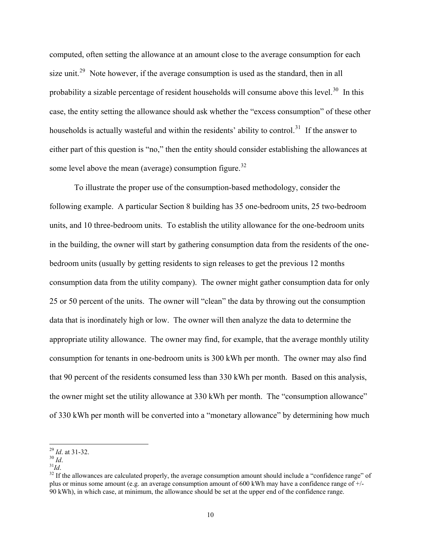computed, often setting the allowance at an amount close to the average consumption for each size unit.<sup>[29](#page-13-0)</sup> Note however, if the average consumption is used as the standard, then in all probability a sizable percentage of resident households will consume above this level.<sup>[30](#page-13-1)</sup> In this case, the entity setting the allowance should ask whether the "excess consumption" of these other households is actually wasteful and within the residents' ability to control.<sup>[31](#page-13-2)</sup> If the answer to either part of this question is "no," then the entity should consider establishing the allowances at some level above the mean (average) consumption figure. $32$ 

To illustrate the proper use of the consumption-based methodology, consider the following example. A particular Section 8 building has 35 one-bedroom units, 25 two-bedroom units, and 10 three-bedroom units. To establish the utility allowance for the one-bedroom units in the building, the owner will start by gathering consumption data from the residents of the onebedroom units (usually by getting residents to sign releases to get the previous 12 months consumption data from the utility company). The owner might gather consumption data for only 25 or 50 percent of the units. The owner will "clean" the data by throwing out the consumption data that is inordinately high or low. The owner will then analyze the data to determine the appropriate utility allowance. The owner may find, for example, that the average monthly utility consumption for tenants in one-bedroom units is 300 kWh per month. The owner may also find that 90 percent of the residents consumed less than 330 kWh per month. Based on this analysis, the owner might set the utility allowance at 330 kWh per month. The "consumption allowance" of 330 kWh per month will be converted into a "monetary allowance" by determining how much

<span id="page-13-3"></span><span id="page-13-2"></span>

<span id="page-13-0"></span> $^{29}$  *Id.* at 31-32.

<span id="page-13-1"></span><sup>&</sup>lt;sup>30</sup> *Id.*<br><sup>31</sup>*Id*. <sup>31</sup>*Id*. <sup>31</sup>*Id*. <sup>32</sup> If the allowances are calculated properly, the average consumption amount should include a "confidence range" of plus or minus some amount (e.g. an average consumption amount of 600 kWh may have a confidence range of +/- 90 kWh), in which case, at minimum, the allowance should be set at the upper end of the confidence range.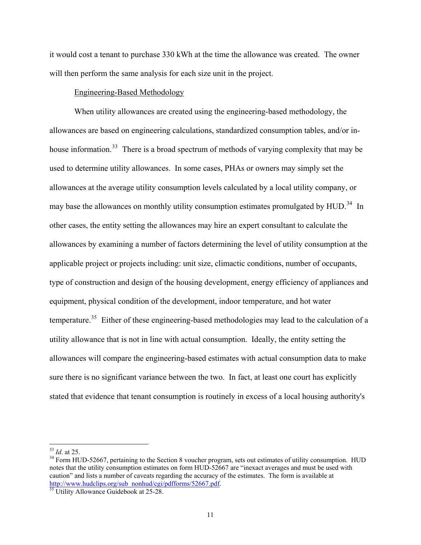it would cost a tenant to purchase 330 kWh at the time the allowance was created. The owner will then perform the same analysis for each size unit in the project.

#### Engineering-Based Methodology

When utility allowances are created using the engineering-based methodology, the allowances are based on engineering calculations, standardized consumption tables, and/or in-house information.<sup>[33](#page-14-0)</sup> There is a broad spectrum of methods of varying complexity that may be used to determine utility allowances. In some cases, PHAs or owners may simply set the allowances at the average utility consumption levels calculated by a local utility company, or may base the allowances on monthly utility consumption estimates promulgated by HUD.<sup>[34](#page-14-1)</sup> In other cases, the entity setting the allowances may hire an expert consultant to calculate the allowances by examining a number of factors determining the level of utility consumption at the applicable project or projects including: unit size, climactic conditions, number of occupants, type of construction and design of the housing development, energy efficiency of appliances and equipment, physical condition of the development, indoor temperature, and hot water temperature.<sup>[35](#page-14-2)</sup> Either of these engineering-based methodologies may lead to the calculation of a utility allowance that is not in line with actual consumption. Ideally, the entity setting the allowances will compare the engineering-based estimates with actual consumption data to make sure there is no significant variance between the two. In fact, at least one court has explicitly stated that evidence that tenant consumption is routinely in excess of a local housing authority's

<span id="page-14-0"></span> $33$  *Id.* at 25.

<span id="page-14-1"></span><sup>&</sup>lt;sup>34</sup> Form HUD-52667, pertaining to the Section 8 voucher program, sets out estimates of utility consumption. HUD notes that the utility consumption estimates on form HUD-52667 are "inexact averages and must be used with caution" and lists a number of caveats regarding the accuracy of the estimates. The form is available at [http://www.hudclips.org/sub\\_nonhud/cgi/pdfforms/52667.pdf](http://www.hudclips.org/sub_nonhud/cgi/pdfforms/52667.pdf). [35](http://www.hudclips.org/sub_nonhud/cgi/pdfforms/52667.pdf) Utility Allowance Guidebook at 25-28.

<span id="page-14-2"></span>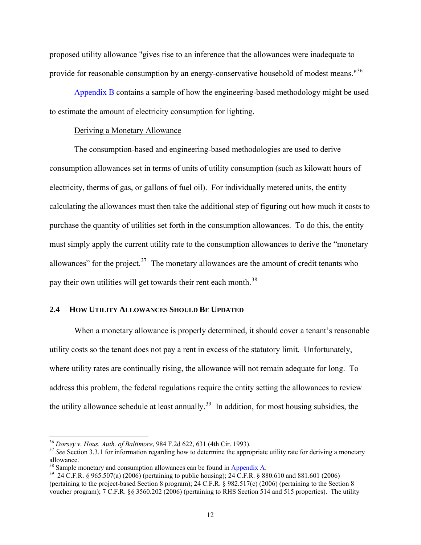<span id="page-15-0"></span>proposed utility allowance "gives rise to an inference that the allowances were inadequate to provide for reasonable consumption by an energy-conservative household of modest means."<sup>[36](#page-15-1)</sup>

Appendix B contains a sample of how the engineering-based methodology might be used to estimate the amount of electricity consumption for lighting.

#### Deriving a Monetary Allowance

 The consumption-based and engineering-based methodologies are used to derive consumption allowances set in terms of units of utility consumption (such as kilowatt hours of electricity, therms of gas, or gallons of fuel oil). For individually metered units, the entity calculating the allowances must then take the additional step of figuring out how much it costs to purchase the quantity of utilities set forth in the consumption allowances. To do this, the entity must simply apply the current utility rate to the consumption allowances to derive the "monetary allowances" for the project. $37$  The monetary allowances are the amount of credit tenants who pay their own utilities will get towards their rent each month.<sup>[38](#page-15-3)</sup>

#### **2.4 HOW UTILITY ALLOWANCES SHOULD BE UPDATED**

When a monetary allowance is properly determined, it should cover a tenant's reasonable utility costs so the tenant does not pay a rent in excess of the statutory limit. Unfortunately, where utility rates are continually rising, the allowance will not remain adequate for long. To address this problem, the federal regulations require the entity setting the allowances to review the utility allowance schedule at least annually.<sup>[39](#page-15-4)</sup> In addition, for most housing subsidies, the

<span id="page-15-1"></span><sup>&</sup>lt;sup>36</sup> Dorsey v. Hous. Auth. of Baltimore, 984 F.2d 622, 631 (4th Cir. 1993).

<span id="page-15-2"></span><sup>&</sup>lt;sup>37</sup> See Section 3.3.1 for information regarding how to determine the appropriate utility rate for deriving a monetary allowance.<br><sup>38</sup> Sample monetary and consumption allowances can be found in Appendix A.

<span id="page-15-4"></span><span id="page-15-3"></span> $39 \text{ } 24 \text{ C.F.R.}$  § 965.507(a) (2006) (pertaining to public housing);  $24 \text{ C.F.R.}$  § 880.610 and 881.601 (2006) (pertaining to the project-based Section 8 program); 24 C.F.R. § 982.517(c) (2006) (pertaining to the Section 8 voucher program); 7 C.F.R. §§ 3560.202 (2006) (pertaining to RHS Section 514 and 515 properties). The utility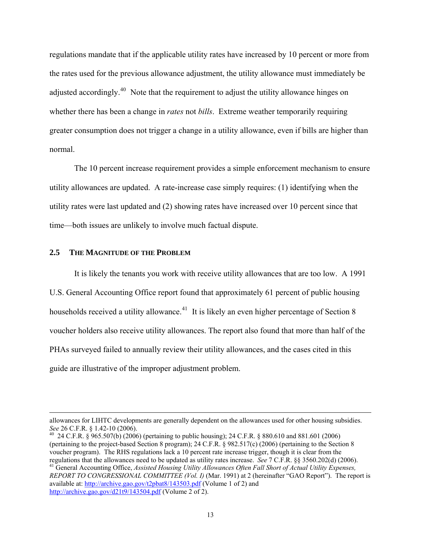<span id="page-16-0"></span>regulations mandate that if the applicable utility rates have increased by 10 percent or more from the rates used for the previous allowance adjustment, the utility allowance must immediately be adjusted accordingly.<sup>[40](#page-16-1)</sup> Note that the requirement to adjust the utility allowance hinges on whether there has been a change in *rates* not *bills*. Extreme weather temporarily requiring greater consumption does not trigger a change in a utility allowance, even if bills are higher than normal.

The 10 percent increase requirement provides a simple enforcement mechanism to ensure utility allowances are updated. A rate-increase case simply requires: (1) identifying when the utility rates were last updated and (2) showing rates have increased over 10 percent since that time—both issues are unlikely to involve much factual dispute.

#### **2.5 THE MAGNITUDE OF THE PROBLEM**

It is likely the tenants you work with receive utility allowances that are too low. A 1991 U.S. General Accounting Office report found that approximately 61 percent of public housing households received a utility allowance.<sup>[41](#page-16-2)</sup> It is likely an even higher percentage of Section 8 voucher holders also receive utility allowances. The report also found that more than half of the PHAs surveyed failed to annually review their utility allowances, and the cases cited in this guide are illustrative of the improper adjustment problem.

allowances for LIHTC developments are generally dependent on the allowances used for other housing subsidies.<br>See 26 C.F.R. § 1.42-10 (2006).

<span id="page-16-1"></span><sup>&</sup>lt;sup>40</sup> 24 C.F.R. § 965.507(b) (2006) (pertaining to public housing); 24 C.F.R. § 880.610 and 881.601 (2006) (pertaining to the project-based Section 8 program); 24 C.F.R. § 982.517(c) (2006) (pertaining to the Section 8 voucher program). The RHS regulations lack a 10 percent rate increase trigger, though it is clear from the regulations that the allowances need to be updated as utility rates increase. See 7 C.F.R. §§ 3560.202(d) (2006).<br><sup>41</sup> General Accounting Office, *Assisted Housing Utility Allowances Often Fall Short of Actual Utility Expe REPORT TO CONGRESSIONAL COMMITTEE (Vol. I)* (Mar. 1991) at 2 (hereinafter "GAO Report"). The report is available at:<http://archive.gao.gov/t2pbat8/143503.pdf> (Volume 1 of 2) and

<span id="page-16-2"></span><http://archive.gao.gov/d21t9/143504.pdf>(Volume 2 of 2).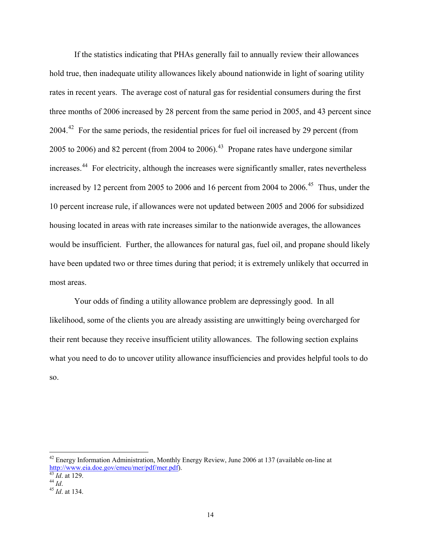If the statistics indicating that PHAs generally fail to annually review their allowances hold true, then inadequate utility allowances likely abound nationwide in light of soaring utility rates in recent years. The average cost of natural gas for residential consumers during the first three months of 2006 increased by 28 percent from the same period in 2005, and 43 percent since 2004.<sup>[42](#page-17-0)</sup> For the same periods, the residential prices for fuel oil increased by 29 percent (from 2005 to 2006) and 82 percent (from 2004 to 2006).<sup>[43](#page-17-1)</sup> Propane rates have undergone similar increases.<sup>[44](#page-17-2)</sup> For electricity, although the increases were significantly smaller, rates nevertheless increased by 12 percent from 2005 to 2006 and 16 percent from 2004 to 2006.<sup>[45](#page-17-3)</sup> Thus, under the 10 percent increase rule, if allowances were not updated between 2005 and 2006 for subsidized housing located in areas with rate increases similar to the nationwide averages, the allowances would be insufficient. Further, the allowances for natural gas, fuel oil, and propane should likely have been updated two or three times during that period; it is extremely unlikely that occurred in most areas.

Your odds of finding a utility allowance problem are depressingly good. In all likelihood, some of the clients you are already assisting are unwittingly being overcharged for their rent because they receive insufficient utility allowances. The following section explains what you need to do to uncover utility allowance insufficiencies and provides helpful tools to do so.

 $\overline{a}$ 

<span id="page-17-0"></span><sup>&</sup>lt;sup>42</sup> Energy Information Administration, Monthly Energy Review, June 2006 at 137 (available on-line at <http://www.eia.doe.gov/emeu/mer/pdf/mer.pdf>). [43](http://www.eia.doe.gov/emeu/mer/pdf/mer.pdf) *Id*. at 129. 44 *Id*. 45 *Id*. at 134.

<span id="page-17-2"></span><span id="page-17-1"></span>

<span id="page-17-3"></span>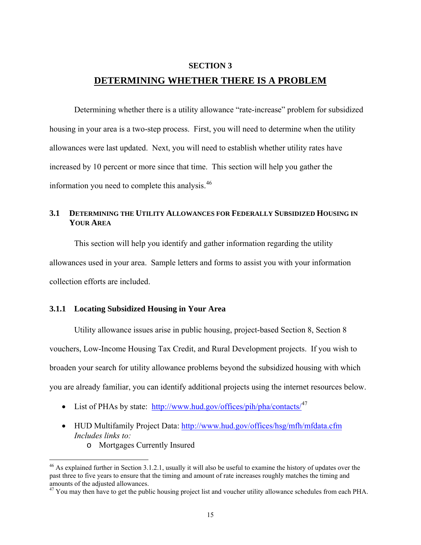#### **SECTION 3**

## **DETERMINING WHETHER THERE IS A PROBLEM**

<span id="page-18-0"></span>Determining whether there is a utility allowance "rate-increase" problem for subsidized housing in your area is a two-step process. First, you will need to determine when the utility allowances were last updated. Next, you will need to establish whether utility rates have increased by 10 percent or more since that time. This section will help you gather the information you need to complete this analysis.<sup>[46](#page-18-1)</sup>

## **3.1 DETERMINING THE UTILITY ALLOWANCES FOR FEDERALLY SUBSIDIZED HOUSING IN YOUR AREA**

This section will help you identify and gather information regarding the utility allowances used in your area. Sample letters and forms to assist you with your information collection efforts are included.

#### **3.1.1 Locating Subsidized Housing in Your Area**

Utility allowance issues arise in public housing, project-based Section 8, Section 8 vouchers, Low-Income Housing Tax Credit, and Rural Development projects. If you wish to broaden your search for utility allowance problems beyond the subsidized housing with which you are already familiar, you can identify additional projects using the internet resources below.

- List of PHAs by state: <http://www.hud.gov/offices/pih/pha/contacts/><sup>[47](#page-18-2)</sup>
- HUD Multifamily Project Data:<http://www.hud.gov/offices/hsg/mfh/mfdata.cfm> *Includes links to:* 
	- o Mortgages Currently Insured

<u>.</u>

<span id="page-18-1"></span><sup>&</sup>lt;sup>46</sup> As explained further in Section 3.1.2.1, usually it will also be useful to examine the history of updates over the past three to five years to ensure that the timing and amount of rate increases roughly matches the timing and amounts of the adjusted allowances.

<span id="page-18-2"></span> $47$  You may then have to get the public housing project list and voucher utility allowance schedules from each PHA.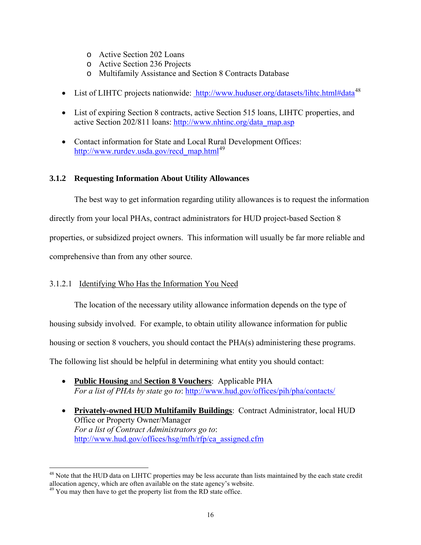- <span id="page-19-0"></span>o Active Section 202 Loans
- o Active Section 236 Projects
- o Multifamily Assistance and Section 8 Contracts Database
- List of LIHTC projects nationwide: <http://www.huduser.org/datasets/lihtc.html#data><sup>[48](#page-19-1)</sup>
- List of expiring Section 8 contracts, active Section 515 loans, LIHTC properties, and active Section 202/811 loans: [http://www.nhtinc.org/data\\_map.asp](http://www.nhtinc.org/data_map.asp)
- Contact information for State and Local Rural Development Offices: [http://www.rurdev.usda.gov/recd\\_map.html](http://www.rurdev.usda.gov/recd_map.html)<sup>[49](#page-19-2)</sup>

## **3.1.2 Requesting Information About Utility Allowances**

 The best way to get information regarding utility allowances is to request the information directly from your local PHAs, contract administrators for HUD project-based Section 8 properties, or subsidized project owners. This information will usually be far more reliable and comprehensive than from any other source.

## 3.1.2.1 Identifying Who Has the Information You Need

The location of the necessary utility allowance information depends on the type of

housing subsidy involved. For example, to obtain utility allowance information for public

housing or section 8 vouchers, you should contact the PHA(s) administering these programs.

The following list should be helpful in determining what entity you should contact:

- **Public Housing** and **Section 8 Vouchers**: Applicable PHA *For a list of PHAs by state go to*: <http://www.hud.gov/offices/pih/pha/contacts/>
- **Privately-owned HUD Multifamily Buildings**: Contract Administrator, local HUD Office or Property Owner/Manager *For a list of Contract Administrators go to*: [http://www.hud.gov/offices/hsg/mfh/rfp/ca\\_assigned.cfm](http://www.hud.gov/offices/hsg/mfh/rfp/ca_assigned.cfm)

<span id="page-19-1"></span> $\overline{a}$ <sup>48</sup> Note that the HUD data on LIHTC properties may be less accurate than lists maintained by the each state credit allocation agency, which are often available on the state agency's website. 49 You may then have to get the property list from the RD state office.

<span id="page-19-2"></span>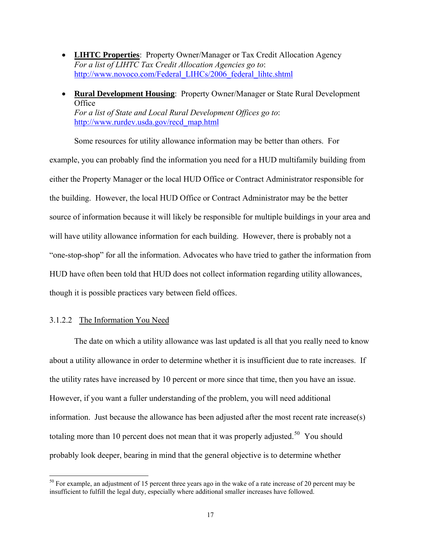- <span id="page-20-0"></span>• **LIHTC Properties**: Property Owner/Manager or Tax Credit Allocation Agency *For a list of LIHTC Tax Credit Allocation Agencies go to*: [http://www.novoco.com/Federal\\_LIHCs/2006\\_federal\\_lihtc.shtml](http://www.novoco.com/Federal_LIHCs/2006_federal_lihtc.shtml)
- **Rural Development Housing**: Property Owner/Manager or State Rural Development **Office** *For a list of State and Local Rural Development Offices go to*: [http://www.rurdev.usda.gov/recd\\_map.html](http://www.rurdev.usda.gov/recd_map.html)

Some resources for utility allowance information may be better than others. For example, you can probably find the information you need for a HUD multifamily building from either the Property Manager or the local HUD Office or Contract Administrator responsible for the building. However, the local HUD Office or Contract Administrator may be the better source of information because it will likely be responsible for multiple buildings in your area and will have utility allowance information for each building. However, there is probably not a "one-stop-shop" for all the information. Advocates who have tried to gather the information from HUD have often been told that HUD does not collect information regarding utility allowances, though it is possible practices vary between field offices.

#### 3.1.2.2 The Information You Need

 $\overline{a}$ 

The date on which a utility allowance was last updated is all that you really need to know about a utility allowance in order to determine whether it is insufficient due to rate increases. If the utility rates have increased by 10 percent or more since that time, then you have an issue. However, if you want a fuller understanding of the problem, you will need additional information. Just because the allowance has been adjusted after the most recent rate increase(s) totaling more than 10 percent does not mean that it was properly adjusted.<sup>[50](#page-20-1)</sup> You should probably look deeper, bearing in mind that the general objective is to determine whether

<span id="page-20-1"></span> $50$  For example, an adjustment of 15 percent three years ago in the wake of a rate increase of 20 percent may be insufficient to fulfill the legal duty, especially where additional smaller increases have followed.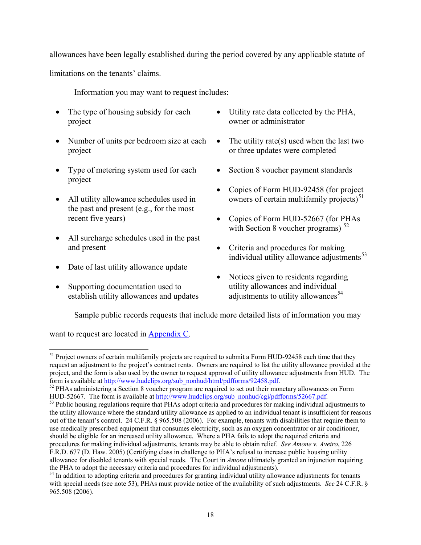allowances have been legally established during the period covered by any applicable statute of

limitations on the tenants' claims.

Information you may want to request includes:

- The type of housing subsidy for each project
- Number of units per bedroom size at each project
- Type of metering system used for each project
- All utility allowance schedules used in the past and present (e.g., for the most recent five years)
- All surcharge schedules used in the past and present
- Date of last utility allowance update
- Supporting documentation used to establish utility allowances and updates
- Utility rate data collected by the PHA, owner or administrator
- The utility rate(s) used when the last two or three updates were completed
- Section 8 voucher payment standards
- Copies of Form HUD-92458 (for project owners of certain multifamily projects $5<sup>51</sup>$  $5<sup>51</sup>$  $5<sup>51</sup>$
- Copies of Form HUD-52667 (for PHAs with Section 8 voucher programs)  $52$
- Criteria and procedures for making individual utility allowance adjustments<sup>[53](#page-21-2)</sup>
- Notices given to residents regarding utility allowances and individual adjustments to utility allowances<sup>[54](#page-21-3)</sup>

Sample public records requests that include more detailed lists of information you may

want to request are located in Appendix C.

 $\overline{a}$ 

<span id="page-21-0"></span><sup>&</sup>lt;sup>51</sup> Project owners of certain multifamily projects are required to submit a Form HUD-92458 each time that they request an adjustment to the project's contract rents. Owners are required to list the utility allowance provided at the project, and the form is also used by the owner to request approval of utility allowance adjustments from HUD. The form is available at [http://www.hudclips.org/sub\\_nonhud/html/pdfforms/92458.pdf](http://www.hudclips.org/sub_nonhud/html/pdfforms/92458.pdf).<br><sup>52</sup> PHAs administering a Section 8 voucher program are required to set out their monetary allowances on Form

<span id="page-21-1"></span>

<span id="page-21-2"></span>HUD-52667. The form is available at [http://www.hudclips.org/sub\\_nonhud/cgi/pdfforms/52667.pdf](http://www.hudclips.org/sub_nonhud/cgi/pdfforms/52667.pdf).<br><sup>53</sup> Public housing regulations require that PHAs adopt criteria and procedures for making individual adjustments to the utility allowance where the standard utility allowance as applied to an individual tenant is insufficient for reasons out of the tenant's control. 24 C.F.R. § 965.508 (2006). For example, tenants with disabilities that require them to use medically prescribed equipment that consumes electricity, such as an oxygen concentrator or air conditioner, should be eligible for an increased utility allowance. Where a PHA fails to adopt the required criteria and procedures for making individual adjustments, tenants may be able to obtain relief. *See Amone v. Aveiro*, 226 F.R.D. 677 (D. Haw. 2005) (Certifying class in challenge to PHA's refusal to increase public housing utility allowance for disabled tenants with special needs. The Court in *Amone* ultimately granted an injunction requiring the PHA to adopt the necessary criteria and procedures for individual adjustments).

<span id="page-21-3"></span><sup>&</sup>lt;sup>54</sup> In addition to adopting criteria and procedures for granting individual utility allowance adjustments for tenants with special needs (see note 53), PHAs must provide notice of the availability of such adjustments. *See* 24 C.F.R. § 965.508 (2006).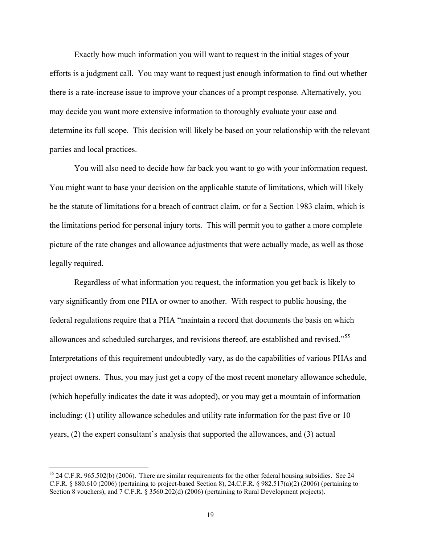Exactly how much information you will want to request in the initial stages of your efforts is a judgment call. You may want to request just enough information to find out whether there is a rate-increase issue to improve your chances of a prompt response. Alternatively, you may decide you want more extensive information to thoroughly evaluate your case and determine its full scope. This decision will likely be based on your relationship with the relevant parties and local practices.

You will also need to decide how far back you want to go with your information request. You might want to base your decision on the applicable statute of limitations, which will likely be the statute of limitations for a breach of contract claim, or for a Section 1983 claim, which is the limitations period for personal injury torts. This will permit you to gather a more complete picture of the rate changes and allowance adjustments that were actually made, as well as those legally required.

Regardless of what information you request, the information you get back is likely to vary significantly from one PHA or owner to another. With respect to public housing, the federal regulations require that a PHA "maintain a record that documents the basis on which allowances and scheduled surcharges, and revisions thereof, are established and revised."[55](#page-22-0) Interpretations of this requirement undoubtedly vary, as do the capabilities of various PHAs and project owners. Thus, you may just get a copy of the most recent monetary allowance schedule, (which hopefully indicates the date it was adopted), or you may get a mountain of information including: (1) utility allowance schedules and utility rate information for the past five or 10 years, (2) the expert consultant's analysis that supported the allowances, and (3) actual

<span id="page-22-0"></span><sup>55 24</sup> C.F.R. 965.502(b) (2006). There are similar requirements for the other federal housing subsidies. See 24 C.F.R. § 880.610 (2006) (pertaining to project-based Section 8), 24.C.F.R. § 982.517(a)(2) (2006) (pertaining to Section 8 vouchers), and 7 C.F.R. § 3560.202(d) (2006) (pertaining to Rural Development projects).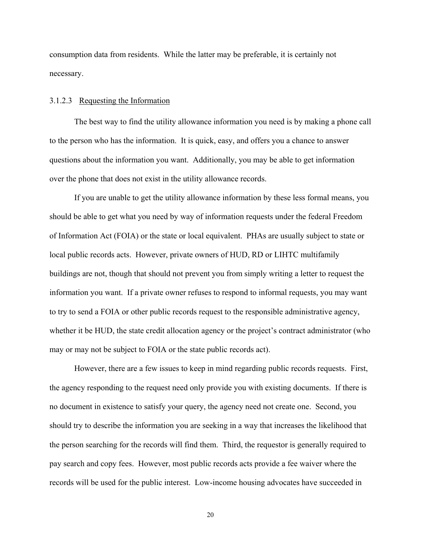<span id="page-23-0"></span>consumption data from residents. While the latter may be preferable, it is certainly not necessary.

#### 3.1.2.3 Requesting the Information

The best way to find the utility allowance information you need is by making a phone call to the person who has the information. It is quick, easy, and offers you a chance to answer questions about the information you want. Additionally, you may be able to get information over the phone that does not exist in the utility allowance records.

If you are unable to get the utility allowance information by these less formal means, you should be able to get what you need by way of information requests under the federal Freedom of Information Act (FOIA) or the state or local equivalent. PHAs are usually subject to state or local public records acts. However, private owners of HUD, RD or LIHTC multifamily buildings are not, though that should not prevent you from simply writing a letter to request the information you want. If a private owner refuses to respond to informal requests, you may want to try to send a FOIA or other public records request to the responsible administrative agency, whether it be HUD, the state credit allocation agency or the project's contract administrator (who may or may not be subject to FOIA or the state public records act).

However, there are a few issues to keep in mind regarding public records requests. First, the agency responding to the request need only provide you with existing documents. If there is no document in existence to satisfy your query, the agency need not create one. Second, you should try to describe the information you are seeking in a way that increases the likelihood that the person searching for the records will find them. Third, the requestor is generally required to pay search and copy fees. However, most public records acts provide a fee waiver where the records will be used for the public interest. Low-income housing advocates have succeeded in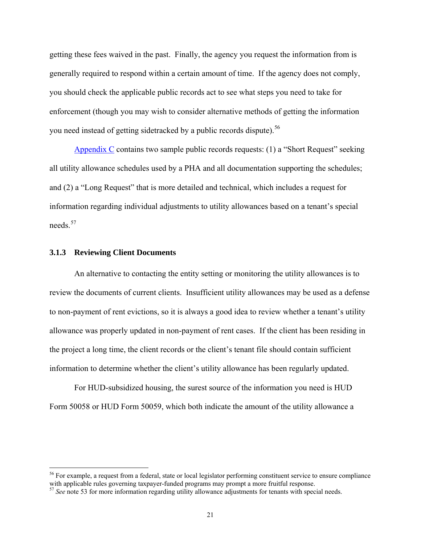<span id="page-24-0"></span>getting these fees waived in the past. Finally, the agency you request the information from is generally required to respond within a certain amount of time. If the agency does not comply, you should check the applicable public records act to see what steps you need to take for enforcement (though you may wish to consider alternative methods of getting the information you need instead of getting sidetracked by a public records dispute).<sup>[56](#page-24-1)</sup>

Appendix C contains two sample public records requests: (1) a "Short Request" seeking all utility allowance schedules used by a PHA and all documentation supporting the schedules; and (2) a "Long Request" that is more detailed and technical, which includes a request for information regarding individual adjustments to utility allowances based on a tenant's special needs<sup>[57](#page-24-2)</sup>

#### **3.1.3 Reviewing Client Documents**

 $\overline{a}$ 

An alternative to contacting the entity setting or monitoring the utility allowances is to review the documents of current clients. Insufficient utility allowances may be used as a defense to non-payment of rent evictions, so it is always a good idea to review whether a tenant's utility allowance was properly updated in non-payment of rent cases. If the client has been residing in the project a long time, the client records or the client's tenant file should contain sufficient information to determine whether the client's utility allowance has been regularly updated.

For HUD-subsidized housing, the surest source of the information you need is HUD Form 50058 or HUD Form 50059, which both indicate the amount of the utility allowance a

<span id="page-24-1"></span><sup>&</sup>lt;sup>56</sup> For example, a request from a federal, state or local legislator performing constituent service to ensure compliance with applicable rules governing taxpayer-funded programs may prompt a more fruitful response.

<span id="page-24-2"></span><sup>&</sup>lt;sup>57</sup> See note 53 for more information regarding utility allowance adjustments for tenants with special needs.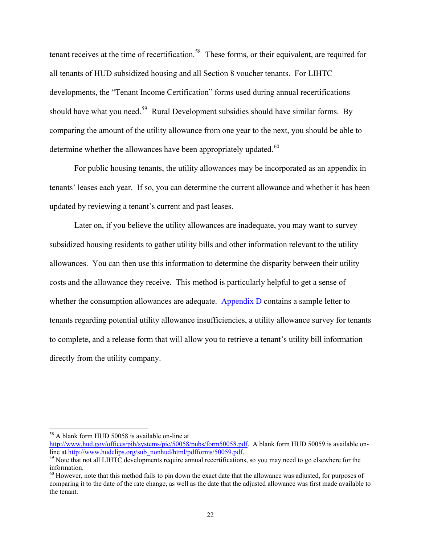tenant receives at the time of recertification.<sup>[58](#page-25-0)</sup> These forms, or their equivalent, are required for all tenants of HUD subsidized housing and all Section 8 voucher tenants. For LIHTC developments, the "Tenant Income Certification" forms used during annual recertifications should have what you need.<sup>[59](#page-25-1)</sup> Rural Development subsidies should have similar forms. By comparing the amount of the utility allowance from one year to the next, you should be able to determine whether the allowances have been appropriately updated.<sup>[60](#page-25-2)</sup>

For public housing tenants, the utility allowances may be incorporated as an appendix in tenants' leases each year. If so, you can determine the current allowance and whether it has been updated by reviewing a tenant's current and past leases.

Later on, if you believe the utility allowances are inadequate, you may want to survey subsidized housing residents to gather utility bills and other information relevant to the utility allowances. You can then use this information to determine the disparity between their utility costs and the allowance they receive. This method is particularly helpful to get a sense of whether the consumption allowances are adequate. Appendix  $D$  contains a sample letter to tenants regarding potential utility allowance insufficiencies, a utility allowance survey for tenants to complete, and a release form that will allow you to retrieve a tenant's utility bill information directly from the utility company.

<span id="page-25-0"></span><sup>58</sup> A blank form HUD 50058 is available on-line at

<http://www.hud.gov/offices/pih/systems/pic/50058/pubs/form50058.pdf>. A blank form HUD 50059 is available on-<br>line at http://www.hudclips.org/sub\_nonhud/html/pdfforms/50059.pdf.

<span id="page-25-1"></span><sup>&</sup>lt;sup>59</sup> Note that not all LIHTC developments require annual recertifications, so you may need to go elsewhere for the information.

<span id="page-25-2"></span> $60$  However, note that this method fails to pin down the exact date that the allowance was adjusted, for purposes of comparing it to the date of the rate change, as well as the date that the adjusted allowance was first made available to the tenant.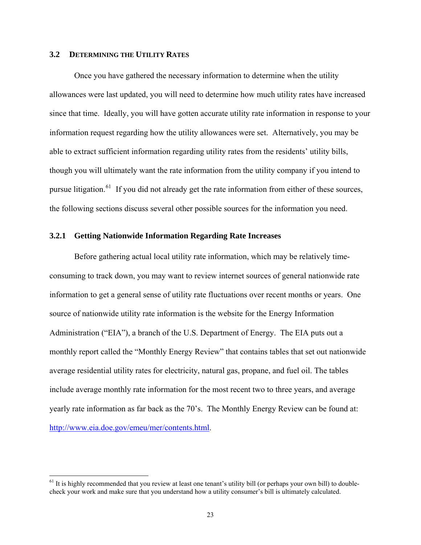#### <span id="page-26-0"></span>**3.2 DETERMINING THE UTILITY RATES**

 $\overline{a}$ 

Once you have gathered the necessary information to determine when the utility allowances were last updated, you will need to determine how much utility rates have increased since that time. Ideally, you will have gotten accurate utility rate information in response to your information request regarding how the utility allowances were set. Alternatively, you may be able to extract sufficient information regarding utility rates from the residents' utility bills, though you will ultimately want the rate information from the utility company if you intend to pursue litigation.<sup>[61](#page-26-1)</sup> If you did not already get the rate information from either of these sources, the following sections discuss several other possible sources for the information you need.

#### **3.2.1 Getting Nationwide Information Regarding Rate Increases**

Before gathering actual local utility rate information, which may be relatively timeconsuming to track down, you may want to review internet sources of general nationwide rate information to get a general sense of utility rate fluctuations over recent months or years. One source of nationwide utility rate information is the website for the Energy Information Administration ("EIA"), a branch of the U.S. Department of Energy. The EIA puts out a monthly report called the "Monthly Energy Review" that contains tables that set out nationwide average residential utility rates for electricity, natural gas, propane, and fuel oil. The tables include average monthly rate information for the most recent two to three years, and average yearly rate information as far back as the 70's. The Monthly Energy Review can be found at: [http://www.eia.doe.gov/emeu/mer/contents.html.](http://www.eia.doe.gov/emeu/mer/contents.html)

<span id="page-26-1"></span> $61$  It is highly recommended that you review at least one tenant's utility bill (or perhaps your own bill) to doublecheck your work and make sure that you understand how a utility consumer's bill is ultimately calculated.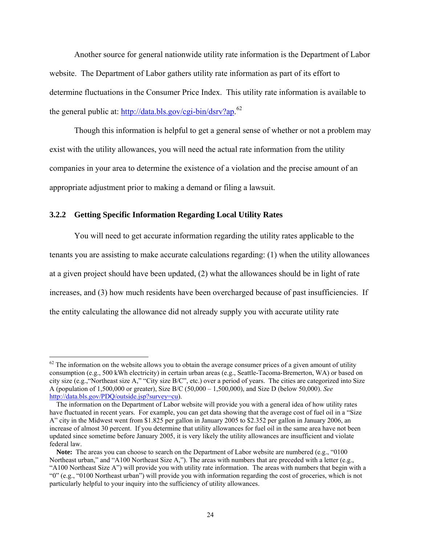<span id="page-27-0"></span>Another source for general nationwide utility rate information is the Department of Labor website. The Department of Labor gathers utility rate information as part of its effort to determine fluctuations in the Consumer Price Index. This utility rate information is available to the general public at: [http://data.bls.gov/cgi-bin/dsrv?ap.](http://data.bls.gov/cgi-bin/dsrv?ap)<sup>[62](#page-27-1)</sup>

Though this information is helpful to get a general sense of whether or not a problem may exist with the utility allowances, you will need the actual rate information from the utility companies in your area to determine the existence of a violation and the precise amount of an appropriate adjustment prior to making a demand or filing a lawsuit.

#### **3.2.2 Getting Specific Information Regarding Local Utility Rates**

 $\overline{a}$ 

You will need to get accurate information regarding the utility rates applicable to the tenants you are assisting to make accurate calculations regarding: (1) when the utility allowances at a given project should have been updated, (2) what the allowances should be in light of rate increases, and (3) how much residents have been overcharged because of past insufficiencies. If the entity calculating the allowance did not already supply you with accurate utility rate

<span id="page-27-1"></span> $62$  The information on the website allows you to obtain the average consumer prices of a given amount of utility consumption (e.g., 500 kWh electricity) in certain urban areas (e.g., Seattle-Tacoma-Bremerton, WA) or based on city size (e.g.,"Northeast size A," "City size B/C", etc.) over a period of years. The cities are categorized into Size A (population of 1,500,000 or greater), Size B/C (50,000 – 1,500,000), and Size D (below 50,000). *See* <http://data.bls.gov/PDQ/outside.jsp?survey=cu>).

The information on the Department of Labor website will provide you with a general idea of how utility rates have fluctuated in recent years. For example, you can get data showing that the average cost of fuel oil in a "Size A" city in the Midwest went from \$1.825 per gallon in January 2005 to \$2.352 per gallon in January 2006, an increase of almost 30 percent. If you determine that utility allowances for fuel oil in the same area have not been updated since sometime before January 2005, it is very likely the utility allowances are insufficient and violate federal law.

**Note:** The areas you can choose to search on the Department of Labor website are numbered (e.g., "0100 Northeast urban," and "A100 Northeast Size A,"). The areas with numbers that are preceded with a letter (e.g., "A100 Northeast Size A") will provide you with utility rate information. The areas with numbers that begin with a "0" (e.g., "0100 Northeast urban") will provide you with information regarding the cost of groceries, which is not particularly helpful to your inquiry into the sufficiency of utility allowances.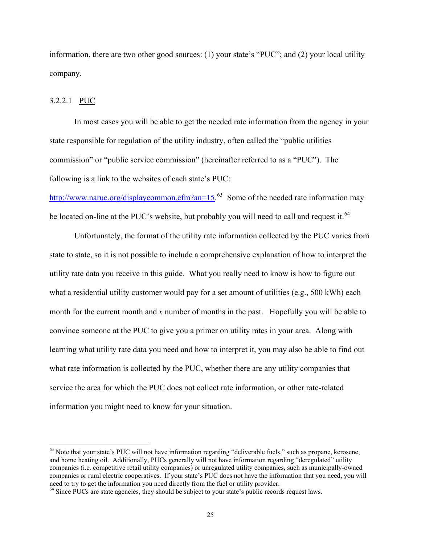<span id="page-28-0"></span>information, there are two other good sources: (1) your state's "PUC"; and (2) your local utility company.

#### 3.2.2.1 PUC

 $\overline{a}$ 

In most cases you will be able to get the needed rate information from the agency in your state responsible for regulation of the utility industry, often called the "public utilities commission" or "public service commission" (hereinafter referred to as a "PUC"). The following is a link to the websites of each state's PUC:

<http://www.naruc.org/displaycommon.cfm?an=15>.<sup>[63](#page-28-1)</sup> Some of the needed rate information may be located on-line at the PUC's website, but probably you will need to call and request it.<sup>[64](#page-28-2)</sup>

Unfortunately, the format of the utility rate information collected by the PUC varies from state to state, so it is not possible to include a comprehensive explanation of how to interpret the utility rate data you receive in this guide. What you really need to know is how to figure out what a residential utility customer would pay for a set amount of utilities (e.g., 500 kWh) each month for the current month and *x* number of months in the past. Hopefully you will be able to convince someone at the PUC to give you a primer on utility rates in your area. Along with learning what utility rate data you need and how to interpret it, you may also be able to find out what rate information is collected by the PUC, whether there are any utility companies that service the area for which the PUC does not collect rate information, or other rate-related information you might need to know for your situation.

<span id="page-28-1"></span> $63$  Note that your state's PUC will not have information regarding "deliverable fuels," such as propane, kerosene, and home heating oil. Additionally, PUCs generally will not have information regarding "deregulated" utility companies (i.e. competitive retail utility companies) or unregulated utility companies, such as municipally-owned companies or rural electric cooperatives. If your state's PUC does not have the information that you need, you will need to try to get the information you need directly from the fuel or utility provider.

<span id="page-28-2"></span> $64$  Since PUCs are state agencies, they should be subject to your state's public records request laws.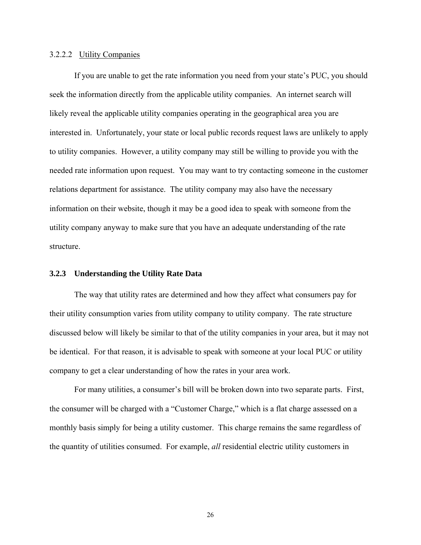#### <span id="page-29-0"></span>3.2.2.2 Utility Companies

If you are unable to get the rate information you need from your state's PUC, you should seek the information directly from the applicable utility companies. An internet search will likely reveal the applicable utility companies operating in the geographical area you are interested in. Unfortunately, your state or local public records request laws are unlikely to apply to utility companies. However, a utility company may still be willing to provide you with the needed rate information upon request. You may want to try contacting someone in the customer relations department for assistance. The utility company may also have the necessary information on their website, though it may be a good idea to speak with someone from the utility company anyway to make sure that you have an adequate understanding of the rate structure.

#### **3.2.3 Understanding the Utility Rate Data**

The way that utility rates are determined and how they affect what consumers pay for their utility consumption varies from utility company to utility company. The rate structure discussed below will likely be similar to that of the utility companies in your area, but it may not be identical. For that reason, it is advisable to speak with someone at your local PUC or utility company to get a clear understanding of how the rates in your area work.

For many utilities, a consumer's bill will be broken down into two separate parts. First, the consumer will be charged with a "Customer Charge," which is a flat charge assessed on a monthly basis simply for being a utility customer. This charge remains the same regardless of the quantity of utilities consumed. For example, *all* residential electric utility customers in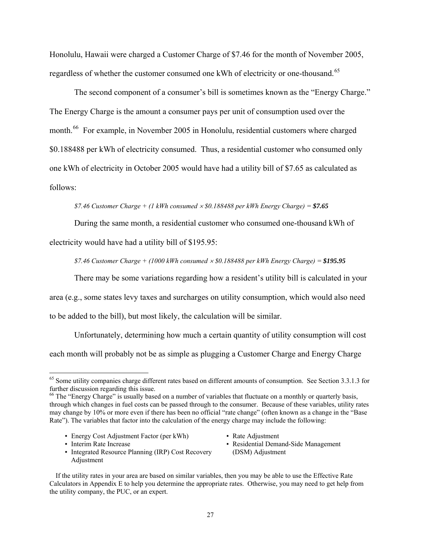Honolulu, Hawaii were charged a Customer Charge of \$7.46 for the month of November 2005, regardless of whether the customer consumed one kWh of electricity or one-thousand.<sup>[65](#page-30-0)</sup>

The second component of a consumer's bill is sometimes known as the "Energy Charge." The Energy Charge is the amount a consumer pays per unit of consumption used over the month.<sup>[66](#page-30-1)</sup> For example, in November 2005 in Honolulu, residential customers where charged \$0.188488 per kWh of electricity consumed. Thus, a residential customer who consumed only one kWh of electricity in October 2005 would have had a utility bill of \$7.65 as calculated as follows:

#### *\$7.46 Customer Charge + (1 kWh consumed* × *\$0.188488 per kWh Energy Charge) = \$7.65*

During the same month, a residential customer who consumed one-thousand kWh of

electricity would have had a utility bill of \$195.95:

*\$7.46 Customer Charge + (1000 kWh consumed* × *\$0.188488 per kWh Energy Charge) = \$195.95*

There may be some variations regarding how a resident's utility bill is calculated in your

area (e.g., some states levy taxes and surcharges on utility consumption, which would also need

to be added to the bill), but most likely, the calculation will be similar.

Unfortunately, determining how much a certain quantity of utility consumption will cost each month will probably not be as simple as plugging a Customer Charge and Energy Charge

- Energy Cost Adjustment Factor (per kWh)
- **•** Interim Rate Increase

 $\overline{a}$ 

- Integrated Resource Planning (IRP) Cost Recovery Adjustment
- Rate Adjustment
- Residential Demand-Side Management (DSM) Adjustment

If the utility rates in your area are based on similar variables, then you may be able to use the Effective Rate Calculators in Appendix E to help you determine the appropriate rates. Otherwise, you may need to get help from the utility company, the PUC, or an expert.

<span id="page-30-0"></span><sup>&</sup>lt;sup>65</sup> Some utility companies charge different rates based on different amounts of consumption. See Section 3.3.1.3 for further discussion regarding this issue.

<span id="page-30-1"></span><sup>&</sup>lt;sup>66</sup> The "Energy Charge" is usually based on a number of variables that fluctuate on a monthly or quarterly basis, through which changes in fuel costs can be passed through to the consumer. Because of these variables, utility rates may change by 10% or more even if there has been no official "rate change" (often known as a change in the "Base Rate"). The variables that factor into the calculation of the energy charge may include the following: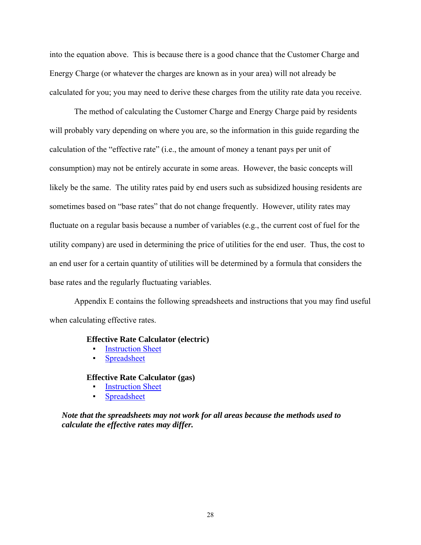into the equation above. This is because there is a good chance that the Customer Charge and Energy Charge (or whatever the charges are known as in your area) will not already be calculated for you; you may need to derive these charges from the utility rate data you receive.

The method of calculating the Customer Charge and Energy Charge paid by residents will probably vary depending on where you are, so the information in this guide regarding the calculation of the "effective rate" (i.e., the amount of money a tenant pays per unit of consumption) may not be entirely accurate in some areas. However, the basic concepts will likely be the same. The utility rates paid by end users such as subsidized housing residents are sometimes based on "base rates" that do not change frequently. However, utility rates may fluctuate on a regular basis because a number of variables (e.g., the current cost of fuel for the utility company) are used in determining the price of utilities for the end user. Thus, the cost to an end user for a certain quantity of utilities will be determined by a formula that considers the base rates and the regularly fluctuating variables.

Appendix E contains the following spreadsheets and instructions that you may find useful when calculating effective rates.

#### **Effective Rate Calculator (electric)**

- **Instruction Sheet**
- Spreadsheet

#### **Effective Rate Calculator (gas)**

- **Instruction Sheet**
- Spreadsheet

*Note that the spreadsheets may not work for all areas because the methods used to calculate the effective rates may differ.*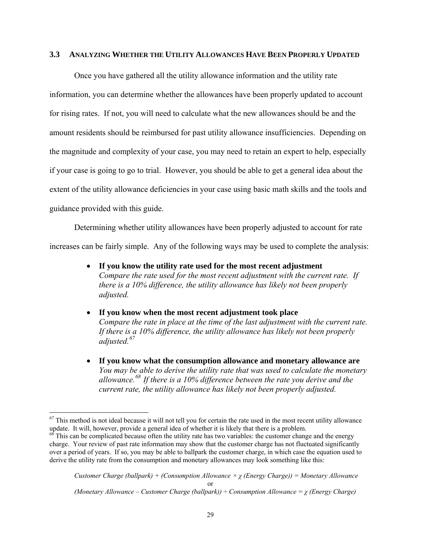#### <span id="page-32-0"></span>**3.3 ANALYZING WHETHER THE UTILITY ALLOWANCES HAVE BEEN PROPERLY UPDATED**

Once you have gathered all the utility allowance information and the utility rate information, you can determine whether the allowances have been properly updated to account for rising rates. If not, you will need to calculate what the new allowances should be and the amount residents should be reimbursed for past utility allowance insufficiencies. Depending on the magnitude and complexity of your case, you may need to retain an expert to help, especially if your case is going to go to trial. However, you should be able to get a general idea about the extent of the utility allowance deficiencies in your case using basic math skills and the tools and guidance provided with this guide.

Determining whether utility allowances have been properly adjusted to account for rate increases can be fairly simple. Any of the following ways may be used to complete the analysis:

- **If you know the utility rate used for the most recent adjustment**  *Compare the rate used for the most recent adjustment with the current rate. If there is a 10% difference, the utility allowance has likely not been properly adjusted.*
- **If you know when the most recent adjustment took place**  *Compare the rate in place at the time of the last adjustment with the current rate. If there is a 10% difference, the utility allowance has likely not been properly adjusted.[67](#page-32-1)*
- **If you know what the consumption allowance and monetary allowance are** *You may be able to derive the utility rate that was used to calculate the monetary allowance.[68](#page-32-2) If there is a 10% difference between the rate you derive and the current rate, the utility allowance has likely not been properly adjusted.*

 $\overline{a}$ 

<span id="page-32-1"></span> $67$  This method is not ideal because it will not tell you for certain the rate used in the most recent utility allowance update. It will, however, provide a general idea of whether it is likely that there is a problem.

<span id="page-32-2"></span> $68$  This can be complicated because often the utility rate has two variables: the customer change and the energy charge. Your review of past rate information may show that the customer charge has not fluctuated significantly over a period of years. If so, you may be able to ballpark the customer charge, in which case the equation used to derive the utility rate from the consumption and monetary allowances may look something like this: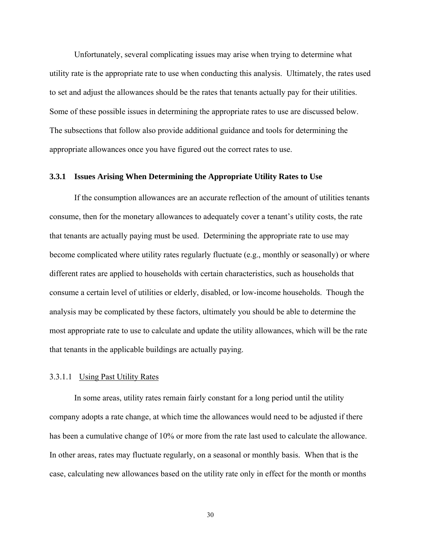<span id="page-33-0"></span> Unfortunately, several complicating issues may arise when trying to determine what utility rate is the appropriate rate to use when conducting this analysis. Ultimately, the rates used to set and adjust the allowances should be the rates that tenants actually pay for their utilities. Some of these possible issues in determining the appropriate rates to use are discussed below. The subsections that follow also provide additional guidance and tools for determining the appropriate allowances once you have figured out the correct rates to use.

#### **3.3.1 Issues Arising When Determining the Appropriate Utility Rates to Use**

If the consumption allowances are an accurate reflection of the amount of utilities tenants consume, then for the monetary allowances to adequately cover a tenant's utility costs, the rate that tenants are actually paying must be used. Determining the appropriate rate to use may become complicated where utility rates regularly fluctuate (e.g., monthly or seasonally) or where different rates are applied to households with certain characteristics, such as households that consume a certain level of utilities or elderly, disabled, or low-income households. Though the analysis may be complicated by these factors, ultimately you should be able to determine the most appropriate rate to use to calculate and update the utility allowances, which will be the rate that tenants in the applicable buildings are actually paying.

#### <span id="page-33-1"></span>3.3.1.1 Using Past Utility Rates

 In some areas, utility rates remain fairly constant for a long period until the utility company adopts a rate change, at which time the allowances would need to be adjusted if there has been a cumulative change of 10% or more from the rate last used to calculate the allowance. In other areas, rates may fluctuate regularly, on a seasonal or monthly basis. When that is the case, calculating new allowances based on the utility rate only in effect for the month or months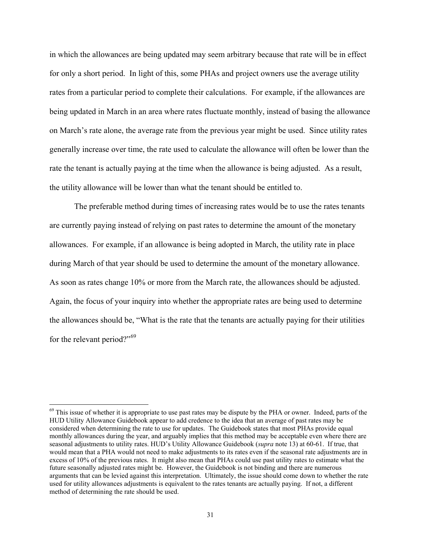in which the allowances are being updated may seem arbitrary because that rate will be in effect for only a short period. In light of this, some PHAs and project owners use the average utility rates from a particular period to complete their calculations. For example, if the allowances are being updated in March in an area where rates fluctuate monthly, instead of basing the allowance on March's rate alone, the average rate from the previous year might be used. Since utility rates generally increase over time, the rate used to calculate the allowance will often be lower than the rate the tenant is actually paying at the time when the allowance is being adjusted. As a result, the utility allowance will be lower than what the tenant should be entitled to.

 The preferable method during times of increasing rates would be to use the rates tenants are currently paying instead of relying on past rates to determine the amount of the monetary allowances. For example, if an allowance is being adopted in March, the utility rate in place during March of that year should be used to determine the amount of the monetary allowance. As soon as rates change 10% or more from the March rate, the allowances should be adjusted. Again, the focus of your inquiry into whether the appropriate rates are being used to determine the allowances should be, "What is the rate that the tenants are actually paying for their utilities for the relevant period?"<sup>[69](#page-34-0)</sup>

 $\overline{a}$ 

<span id="page-34-0"></span> $69$  This issue of whether it is appropriate to use past rates may be dispute by the PHA or owner. Indeed, parts of the HUD Utility Allowance Guidebook appear to add credence to the idea that an average of past rates may be considered when determining the rate to use for updates. The Guidebook states that most PHAs provide equal monthly allowances during the year, and arguably implies that this method may be acceptable even where there are seasonal adjustments to utility rates. HUD's Utility Allowance Guidebook (*supra* note 13) at 60-61. If true, that would mean that a PHA would not need to make adjustments to its rates even if the seasonal rate adjustments are in excess of 10% of the previous rates. It might also mean that PHAs could use past utility rates to estimate what the future seasonally adjusted rates might be. However, the Guidebook is not binding and there are numerous arguments that can be levied against this interpretation. Ultimately, the issue should come down to whether the rate used for utility allowances adjustments is equivalent to the rates tenants are actually paying. If not, a different method of determining the rate should be used.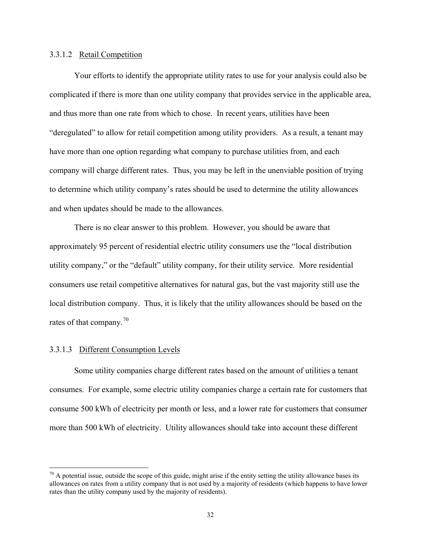#### <span id="page-35-0"></span>3.3.1.2 Retail Competition

 Your efforts to identify the appropriate utility rates to use for your analysis could also be complicated if there is more than one utility company that provides service in the applicable area, and thus more than one rate from which to chose. In recent years, utilities have been "deregulated" to allow for retail competition among utility providers. As a result, a tenant may have more than one option regarding what company to purchase utilities from, and each company will charge different rates. Thus, you may be left in the unenviable position of trying to determine which utility company's rates should be used to determine the utility allowances and when updates should be made to the allowances.

 There is no clear answer to this problem. However, you should be aware that approximately 95 percent of residential electric utility consumers use the "local distribution utility company," or the "default" utility company, for their utility service. More residential consumers use retail competitive alternatives for natural gas, but the vast majority still use the local distribution company. Thus, it is likely that the utility allowances should be based on the rates of that company.<sup>[70](#page-35-1)</sup>

#### 3.3.1.3 Different Consumption Levels

1

Some utility companies charge different rates based on the amount of utilities a tenant consumes. For example, some electric utility companies charge a certain rate for customers that consume 500 kWh of electricity per month or less, and a lower rate for customers that consumer more than 500 kWh of electricity. Utility allowances should take into account these different

<span id="page-35-1"></span> $^{70}$  A potential issue, outside the scope of this guide, might arise if the entity setting the utility allowance bases its allowances on rates from a utility company that is not used by a majority of residents (which happens to have lower rates than the utility company used by the majority of residents).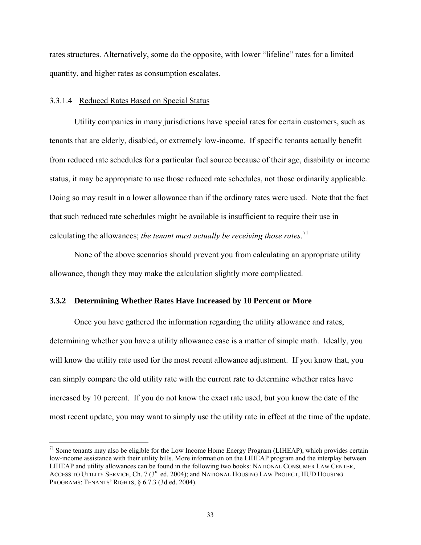<span id="page-36-0"></span>rates structures. Alternatively, some do the opposite, with lower "lifeline" rates for a limited quantity, and higher rates as consumption escalates.

#### 3.3.1.4 Reduced Rates Based on Special Status

1

Utility companies in many jurisdictions have special rates for certain customers, such as tenants that are elderly, disabled, or extremely low-income. If specific tenants actually benefit from reduced rate schedules for a particular fuel source because of their age, disability or income status, it may be appropriate to use those reduced rate schedules, not those ordinarily applicable. Doing so may result in a lower allowance than if the ordinary rates were used. Note that the fact that such reduced rate schedules might be available is insufficient to require their use in calculating the allowances; *the tenant must actually be receiving those rates*. [71](#page-36-1)

None of the above scenarios should prevent you from calculating an appropriate utility allowance, though they may make the calculation slightly more complicated.

#### **3.3.2 Determining Whether Rates Have Increased by 10 Percent or More**

 Once you have gathered the information regarding the utility allowance and rates, determining whether you have a utility allowance case is a matter of simple math. Ideally, you will know the utility rate used for the most recent allowance adjustment. If you know that, you can simply compare the old utility rate with the current rate to determine whether rates have increased by 10 percent. If you do not know the exact rate used, but you know the date of the most recent update, you may want to simply use the utility rate in effect at the time of the update.

<span id="page-36-1"></span> $<sup>71</sup>$  Some tenants may also be eligible for the Low Income Home Energy Program (LIHEAP), which provides certain</sup> low-income assistance with their utility bills. More information on the LIHEAP program and the interplay between LIHEAP and utility allowances can be found in the following two books: NATIONAL CONSUMER LAW CENTER, ACCESS TO UTILITY SERVICE, Ch. 7 (3<sup>rd</sup> ed. 2004); and NATIONAL HOUSING LAW PROJECT, HUD HOUSING PROGRAMS: TENANTS' RIGHTS, § 6.7.3 (3d ed. 2004).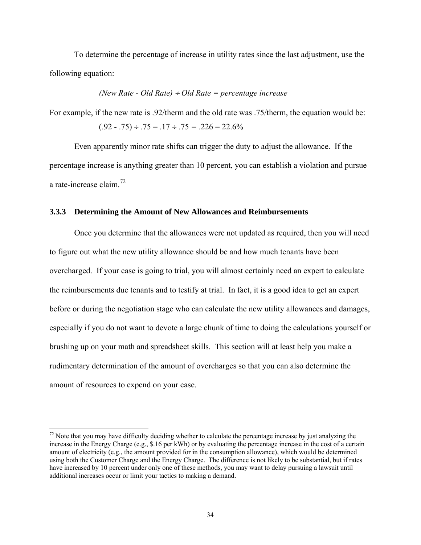<span id="page-37-0"></span> To determine the percentage of increase in utility rates since the last adjustment, use the following equation:

(*New Rate - Old Rate*) 
$$
\div
$$
 *Old Rate = percentage increase*

For example, if the new rate is .92/therm and the old rate was .75/therm, the equation would be:

$$
(.92 - .75) \div .75 = .17 \div .75 = .226 = 22.6\%
$$

 Even apparently minor rate shifts can trigger the duty to adjust the allowance. If the percentage increase is anything greater than 10 percent, you can establish a violation and pursue a rate-increase claim.[72](#page-37-1)

#### **3.3.3 Determining the Amount of New Allowances and Reimbursements**

 Once you determine that the allowances were not updated as required, then you will need to figure out what the new utility allowance should be and how much tenants have been overcharged. If your case is going to trial, you will almost certainly need an expert to calculate the reimbursements due tenants and to testify at trial. In fact, it is a good idea to get an expert before or during the negotiation stage who can calculate the new utility allowances and damages, especially if you do not want to devote a large chunk of time to doing the calculations yourself or brushing up on your math and spreadsheet skills. This section will at least help you make a rudimentary determination of the amount of overcharges so that you can also determine the amount of resources to expend on your case.

 $\overline{a}$ 

<span id="page-37-1"></span> $<sup>72</sup>$  Note that you may have difficulty deciding whether to calculate the percentage increase by just analyzing the</sup> increase in the Energy Charge (e.g., \$.16 per kWh) or by evaluating the percentage increase in the cost of a certain amount of electricity (e.g., the amount provided for in the consumption allowance), which would be determined using both the Customer Charge and the Energy Charge. The difference is not likely to be substantial, but if rates have increased by 10 percent under only one of these methods, you may want to delay pursuing a lawsuit until additional increases occur or limit your tactics to making a demand.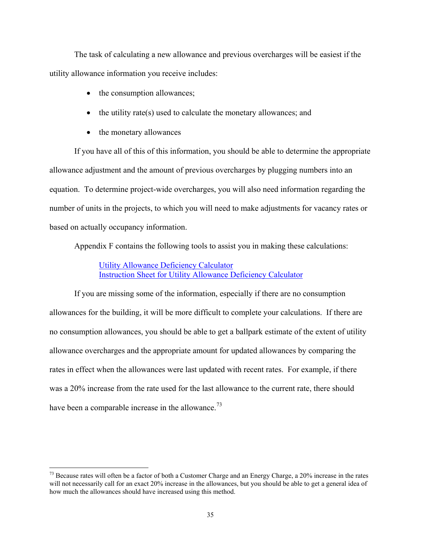The task of calculating a new allowance and previous overcharges will be easiest if the utility allowance information you receive includes:

- the consumption allowances;
- $\bullet$  the utility rate(s) used to calculate the monetary allowances; and
- the monetary allowances

 $\overline{a}$ 

 If you have all of this of this information, you should be able to determine the appropriate allowance adjustment and the amount of previous overcharges by plugging numbers into an equation. To determine project-wide overcharges, you will also need information regarding the number of units in the projects, to which you will need to make adjustments for vacancy rates or based on actually occupancy information.

Appendix F contains the following tools to assist you in making these calculations:

 Utility Allowance Deficiency Calculator Instruction Sheet for Utility Allowance Deficiency Calculator

 If you are missing some of the information, especially if there are no consumption allowances for the building, it will be more difficult to complete your calculations. If there are no consumption allowances, you should be able to get a ballpark estimate of the extent of utility allowance overcharges and the appropriate amount for updated allowances by comparing the rates in effect when the allowances were last updated with recent rates. For example, if there was a 20% increase from the rate used for the last allowance to the current rate, there should have been a comparable increase in the allowance.<sup>[73](#page-38-0)</sup>

<span id="page-38-0"></span> $^{73}$  Because rates will often be a factor of both a Customer Charge and an Energy Charge, a 20% increase in the rates will not necessarily call for an exact 20% increase in the allowances, but you should be able to get a general idea of how much the allowances should have increased using this method.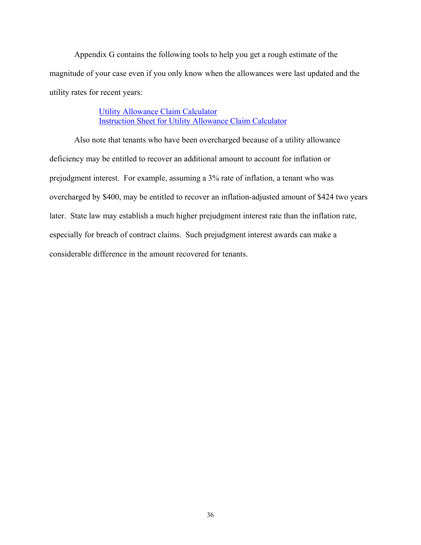Appendix G contains the following tools to help you get a rough estimate of the magnitude of your case even if you only know when the allowances were last updated and the utility rates for recent years:

> Utility Allowance Claim Calculator Instruction Sheet for Utility Allowance Claim Calculator

 Also note that tenants who have been overcharged because of a utility allowance deficiency may be entitled to recover an additional amount to account for inflation or prejudgment interest. For example, assuming a 3% rate of inflation, a tenant who was overcharged by \$400, may be entitled to recover an inflation-adjusted amount of \$424 two years later. State law may establish a much higher prejudgment interest rate than the inflation rate, especially for breach of contract claims. Such prejudgment interest awards can make a considerable difference in the amount recovered for tenants.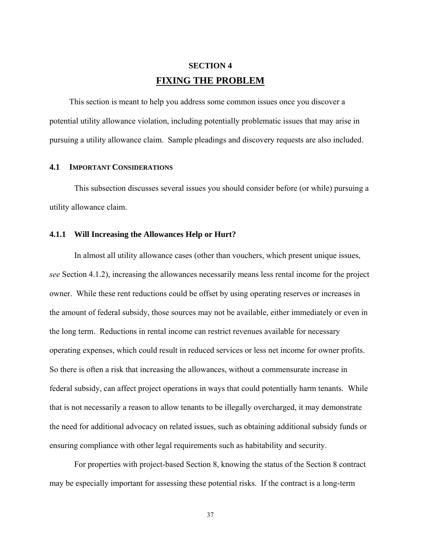## **SECTION 4 FIXING THE PROBLEM**

<span id="page-40-1"></span><span id="page-40-0"></span>This section is meant to help you address some common issues once you discover a potential utility allowance violation, including potentially problematic issues that may arise in pursuing a utility allowance claim. Sample pleadings and discovery requests are also included.

#### **4.1 IMPORTANT CONSIDERATIONS**

 This subsection discusses several issues you should consider before (or while) pursuing a utility allowance claim.

#### **4.1.1 Will Increasing the Allowances Help or Hurt?**

 In almost all utility allowance cases (other than vouchers, which present unique issues, *see* Section 4.1.2), increasing the allowances necessarily means less rental income for the project owner. While these rent reductions could be offset by using operating reserves or increases in the amount of federal subsidy, those sources may not be available, either immediately or even in the long term. Reductions in rental income can restrict revenues available for necessary operating expenses, which could result in reduced services or less net income for owner profits. So there is often a risk that increasing the allowances, without a commensurate increase in federal subsidy, can affect project operations in ways that could potentially harm tenants. While that is not necessarily a reason to allow tenants to be illegally overcharged, it may demonstrate the need for additional advocacy on related issues, such as obtaining additional subsidy funds or ensuring compliance with other legal requirements such as habitability and security.

 For properties with project-based Section 8, knowing the status of the Section 8 contract may be especially important for assessing these potential risks. If the contract is a long-term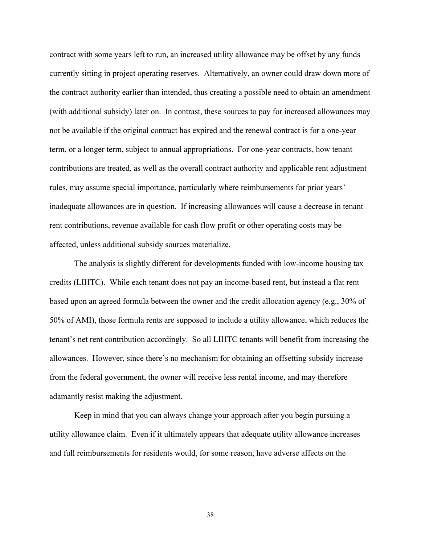contract with some years left to run, an increased utility allowance may be offset by any funds currently sitting in project operating reserves. Alternatively, an owner could draw down more of the contract authority earlier than intended, thus creating a possible need to obtain an amendment (with additional subsidy) later on. In contrast, these sources to pay for increased allowances may not be available if the original contract has expired and the renewal contract is for a one-year term, or a longer term, subject to annual appropriations. For one-year contracts, how tenant contributions are treated, as well as the overall contract authority and applicable rent adjustment rules, may assume special importance, particularly where reimbursements for prior years' inadequate allowances are in question. If increasing allowances will cause a decrease in tenant rent contributions, revenue available for cash flow profit or other operating costs may be affected, unless additional subsidy sources materialize.

 The analysis is slightly different for developments funded with low-income housing tax credits (LIHTC). While each tenant does not pay an income-based rent, but instead a flat rent based upon an agreed formula between the owner and the credit allocation agency (e.g., 30% of 50% of AMI), those formula rents are supposed to include a utility allowance, which reduces the tenant's net rent contribution accordingly. So all LIHTC tenants will benefit from increasing the allowances. However, since there's no mechanism for obtaining an offsetting subsidy increase from the federal government, the owner will receive less rental income, and may therefore adamantly resist making the adjustment.

 Keep in mind that you can always change your approach after you begin pursuing a utility allowance claim. Even if it ultimately appears that adequate utility allowance increases and full reimbursements for residents would, for some reason, have adverse affects on the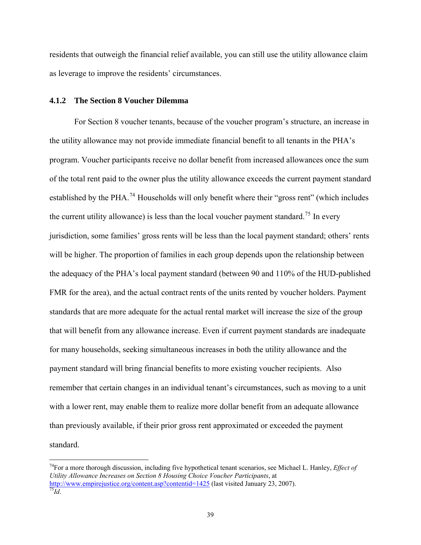<span id="page-42-0"></span>residents that outweigh the financial relief available, you can still use the utility allowance claim as leverage to improve the residents' circumstances.

#### **4.1.2 The Section 8 Voucher Dilemma**

 $\overline{a}$ 

For Section 8 voucher tenants, because of the voucher program's structure, an increase in the utility allowance may not provide immediate financial benefit to all tenants in the PHA's program. Voucher participants receive no dollar benefit from increased allowances once the sum of the total rent paid to the owner plus the utility allowance exceeds the current payment standard established by the PHA.<sup>[74](#page-42-1)</sup> Households will only benefit where their "gross rent" (which includes the current utility allowance) is less than the local voucher payment standard.<sup>[75](#page-42-2)</sup> In every jurisdiction, some families' gross rents will be less than the local payment standard; others' rents will be higher. The proportion of families in each group depends upon the relationship between the adequacy of the PHA's local payment standard (between 90 and 110% of the HUD-published FMR for the area), and the actual contract rents of the units rented by voucher holders. Payment standards that are more adequate for the actual rental market will increase the size of the group that will benefit from any allowance increase. Even if current payment standards are inadequate for many households, seeking simultaneous increases in both the utility allowance and the payment standard will bring financial benefits to more existing voucher recipients. Also remember that certain changes in an individual tenant's circumstances, such as moving to a unit with a lower rent, may enable them to realize more dollar benefit from an adequate allowance than previously available, if their prior gross rent approximated or exceeded the payment standard.

<span id="page-42-2"></span><span id="page-42-1"></span><sup>74</sup>For a more thorough discussion, including five hypothetical tenant scenarios, see Michael L. Hanley, *Effect of Utility Allowance Increases on Section 8 Housing Choice Voucher Participants*, at <http://www.empirejustice.org/content.asp?contentid=1425> (last visited January 23, 2007).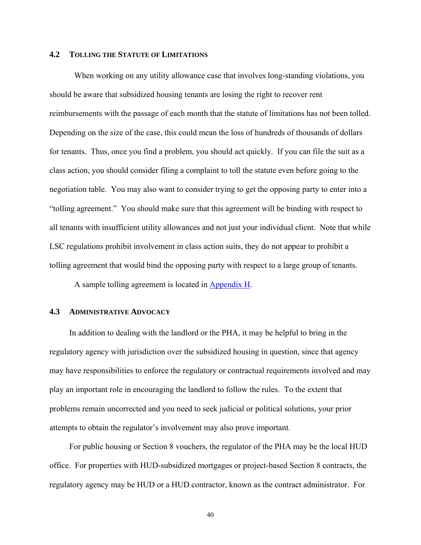#### <span id="page-43-0"></span>**4.2 TOLLING THE STATUTE OF LIMITATIONS**

When working on any utility allowance case that involves long-standing violations, you should be aware that subsidized housing tenants are losing the right to recover rent reimbursements with the passage of each month that the statute of limitations has not been tolled. Depending on the size of the case, this could mean the loss of hundreds of thousands of dollars for tenants. Thus, once you find a problem, you should act quickly. If you can file the suit as a class action, you should consider filing a complaint to toll the statute even before going to the negotiation table. You may also want to consider trying to get the opposing party to enter into a "tolling agreement." You should make sure that this agreement will be binding with respect to all tenants with insufficient utility allowances and not just your individual client. Note that while LSC regulations prohibit involvement in class action suits, they do not appear to prohibit a tolling agreement that would bind the opposing party with respect to a large group of tenants.

A sample tolling agreement is located in Appendix H.

#### **4.3 ADMINISTRATIVE ADVOCACY**

In addition to dealing with the landlord or the PHA, it may be helpful to bring in the regulatory agency with jurisdiction over the subsidized housing in question, since that agency may have responsibilities to enforce the regulatory or contractual requirements involved and may play an important role in encouraging the landlord to follow the rules. To the extent that problems remain uncorrected and you need to seek judicial or political solutions, your prior attempts to obtain the regulator's involvement may also prove important.

For public housing or Section 8 vouchers, the regulator of the PHA may be the local HUD office. For properties with HUD-subsidized mortgages or project-based Section 8 contracts, the regulatory agency may be HUD or a HUD contractor, known as the contract administrator. For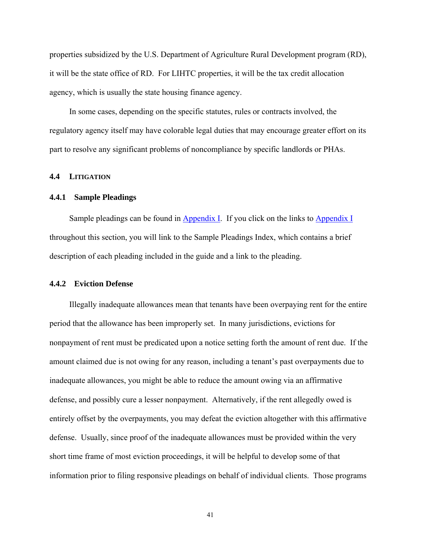<span id="page-44-0"></span>properties subsidized by the U.S. Department of Agriculture Rural Development program (RD), it will be the state office of RD. For LIHTC properties, it will be the tax credit allocation agency, which is usually the state housing finance agency.

In some cases, depending on the specific statutes, rules or contracts involved, the regulatory agency itself may have colorable legal duties that may encourage greater effort on its part to resolve any significant problems of noncompliance by specific landlords or PHAs.

#### **4.4 LITIGATION**

#### **4.4.1 Sample Pleadings**

Sample pleadings can be found in Appendix I. If you click on the links to Appendix I throughout this section, you will link to the Sample Pleadings Index, which contains a brief description of each pleading included in the guide and a link to the pleading.

#### **4.4.2 Eviction Defense**

Illegally inadequate allowances mean that tenants have been overpaying rent for the entire period that the allowance has been improperly set. In many jurisdictions, evictions for nonpayment of rent must be predicated upon a notice setting forth the amount of rent due. If the amount claimed due is not owing for any reason, including a tenant's past overpayments due to inadequate allowances, you might be able to reduce the amount owing via an affirmative defense, and possibly cure a lesser nonpayment. Alternatively, if the rent allegedly owed is entirely offset by the overpayments, you may defeat the eviction altogether with this affirmative defense. Usually, since proof of the inadequate allowances must be provided within the very short time frame of most eviction proceedings, it will be helpful to develop some of that information prior to filing responsive pleadings on behalf of individual clients. Those programs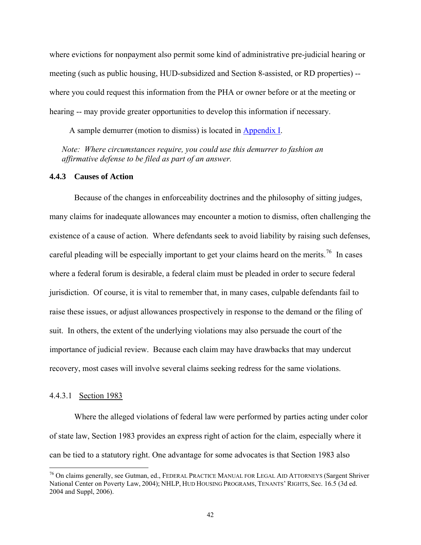<span id="page-45-0"></span>where evictions for nonpayment also permit some kind of administrative pre-judicial hearing or meeting (such as public housing, HUD-subsidized and Section 8-assisted, or RD properties) - where you could request this information from the PHA or owner before or at the meeting or hearing -- may provide greater opportunities to develop this information if necessary.

A sample demurrer (motion to dismiss) is located in Appendix I.

*Note: Where circumstances require, you could use this demurrer to fashion an affirmative defense to be filed as part of an answer.* 

#### **4.4.3 Causes of Action**

 Because of the changes in enforceability doctrines and the philosophy of sitting judges, many claims for inadequate allowances may encounter a motion to dismiss, often challenging the existence of a cause of action. Where defendants seek to avoid liability by raising such defenses, careful pleading will be especially important to get your claims heard on the merits.<sup>[76](#page-45-1)</sup> In cases where a federal forum is desirable, a federal claim must be pleaded in order to secure federal jurisdiction. Of course, it is vital to remember that, in many cases, culpable defendants fail to raise these issues, or adjust allowances prospectively in response to the demand or the filing of suit. In others, the extent of the underlying violations may also persuade the court of the importance of judicial review. Because each claim may have drawbacks that may undercut recovery, most cases will involve several claims seeking redress for the same violations.

#### 4.4.3.1 Section 1983

1

Where the alleged violations of federal law were performed by parties acting under color of state law, Section 1983 provides an express right of action for the claim, especially where it can be tied to a statutory right. One advantage for some advocates is that Section 1983 also

<span id="page-45-1"></span><sup>&</sup>lt;sup>76</sup> On claims generally, see Gutman, ed., FEDERAL PRACTICE MANUAL FOR LEGAL AID ATTORNEYS (Sargent Shriver) National Center on Poverty Law, 2004); NHLP, HUD HOUSING PROGRAMS, TENANTS' RIGHTS, Sec. 16.5 (3d ed. 2004 and Suppl, 2006).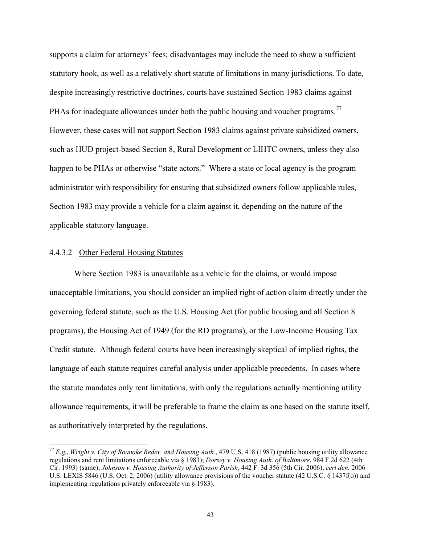<span id="page-46-0"></span>supports a claim for attorneys' fees; disadvantages may include the need to show a sufficient statutory hook, as well as a relatively short statute of limitations in many jurisdictions. To date, despite increasingly restrictive doctrines, courts have sustained Section 1983 claims against PHAs for inadequate allowances under both the public housing and voucher programs.<sup>[77](#page-46-1)</sup> However, these cases will not support Section 1983 claims against private subsidized owners, such as HUD project-based Section 8, Rural Development or LIHTC owners, unless they also happen to be PHAs or otherwise "state actors." Where a state or local agency is the program administrator with responsibility for ensuring that subsidized owners follow applicable rules, Section 1983 may provide a vehicle for a claim against it, depending on the nature of the applicable statutory language.

#### 4.4.3.2 Other Federal Housing Statutes

 $\overline{a}$ 

Where Section 1983 is unavailable as a vehicle for the claims, or would impose unacceptable limitations, you should consider an implied right of action claim directly under the governing federal statute, such as the U.S. Housing Act (for public housing and all Section 8 programs), the Housing Act of 1949 (for the RD programs), or the Low-Income Housing Tax Credit statute. Although federal courts have been increasingly skeptical of implied rights, the language of each statute requires careful analysis under applicable precedents. In cases where the statute mandates only rent limitations, with only the regulations actually mentioning utility allowance requirements, it will be preferable to frame the claim as one based on the statute itself, as authoritatively interpreted by the regulations.

<span id="page-46-1"></span><sup>77</sup> *E.g.*, *Wright v. City of Roanoke Redev. and Housing Auth.*, 479 U.S. 418 (1987) (public housing utility allowance regulations and rent limitations enforceable via § 1983); *Dorsey v. Housing Auth. of Baltimore*, 984 F.2d 622 (4th Cir. 1993) (same); *Johnson v. Housing Authority of Jefferson Parish*, 442 F. 3d 356 (5th Cir. 2006), *cert den.* 2006 U.S. LEXIS 5846 (U.S. Oct. 2, 2006) (utility allowance provisions of the voucher statute (42 U.S.C. § 1437f(o)) and implementing regulations privately enforceable via § 1983).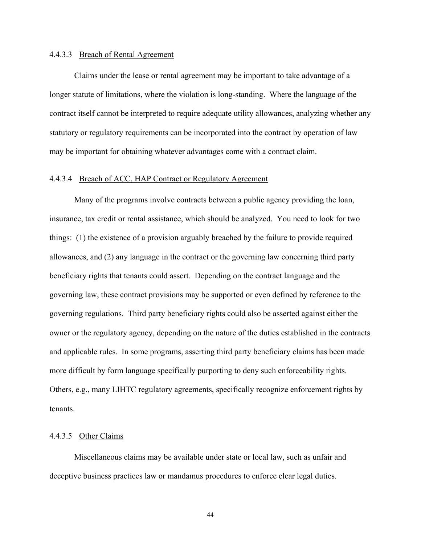#### <span id="page-47-0"></span>4.4.3.3 Breach of Rental Agreement

Claims under the lease or rental agreement may be important to take advantage of a longer statute of limitations, where the violation is long-standing. Where the language of the contract itself cannot be interpreted to require adequate utility allowances, analyzing whether any statutory or regulatory requirements can be incorporated into the contract by operation of law may be important for obtaining whatever advantages come with a contract claim.

#### 4.4.3.4 Breach of ACC, HAP Contract or Regulatory Agreement

Many of the programs involve contracts between a public agency providing the loan, insurance, tax credit or rental assistance, which should be analyzed. You need to look for two things: (1) the existence of a provision arguably breached by the failure to provide required allowances, and (2) any language in the contract or the governing law concerning third party beneficiary rights that tenants could assert. Depending on the contract language and the governing law, these contract provisions may be supported or even defined by reference to the governing regulations. Third party beneficiary rights could also be asserted against either the owner or the regulatory agency, depending on the nature of the duties established in the contracts and applicable rules. In some programs, asserting third party beneficiary claims has been made more difficult by form language specifically purporting to deny such enforceability rights. Others, e.g., many LIHTC regulatory agreements, specifically recognize enforcement rights by tenants.

#### 4.4.3.5 Other Claims

Miscellaneous claims may be available under state or local law, such as unfair and deceptive business practices law or mandamus procedures to enforce clear legal duties.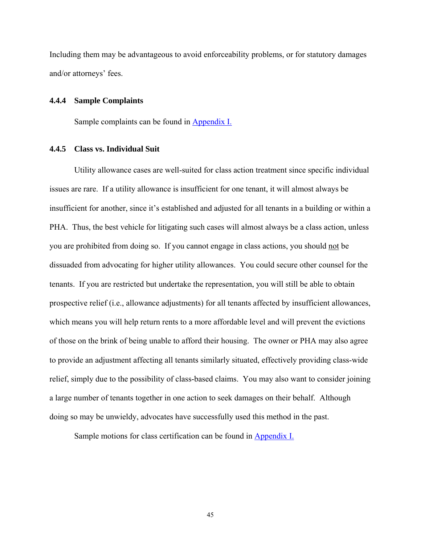<span id="page-48-0"></span>Including them may be advantageous to avoid enforceability problems, or for statutory damages and/or attorneys' fees.

#### **4.4.4 Sample Complaints**

Sample complaints can be found in Appendix I.

#### **4.4.5 Class vs. Individual Suit**

Utility allowance cases are well-suited for class action treatment since specific individual issues are rare. If a utility allowance is insufficient for one tenant, it will almost always be insufficient for another, since it's established and adjusted for all tenants in a building or within a PHA. Thus, the best vehicle for litigating such cases will almost always be a class action, unless you are prohibited from doing so. If you cannot engage in class actions, you should not be dissuaded from advocating for higher utility allowances. You could secure other counsel for the tenants. If you are restricted but undertake the representation, you will still be able to obtain prospective relief (i.e., allowance adjustments) for all tenants affected by insufficient allowances, which means you will help return rents to a more affordable level and will prevent the evictions of those on the brink of being unable to afford their housing. The owner or PHA may also agree to provide an adjustment affecting all tenants similarly situated, effectively providing class-wide relief, simply due to the possibility of class-based claims. You may also want to consider joining a large number of tenants together in one action to seek damages on their behalf. Although doing so may be unwieldy, advocates have successfully used this method in the past.

Sample motions for class certification can be found in Appendix I.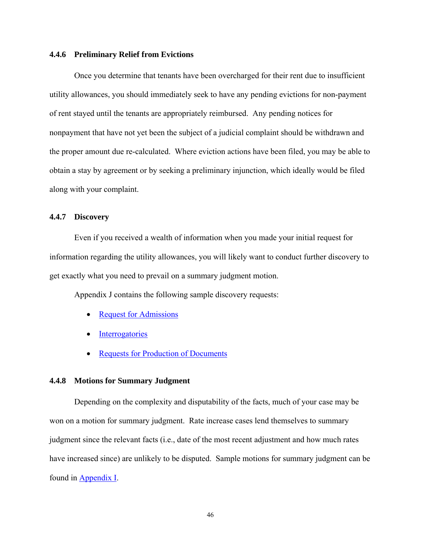#### <span id="page-49-0"></span>**4.4.6 Preliminary Relief from Evictions**

Once you determine that tenants have been overcharged for their rent due to insufficient utility allowances, you should immediately seek to have any pending evictions for non-payment of rent stayed until the tenants are appropriately reimbursed. Any pending notices for nonpayment that have not yet been the subject of a judicial complaint should be withdrawn and the proper amount due re-calculated. Where eviction actions have been filed, you may be able to obtain a stay by agreement or by seeking a preliminary injunction, which ideally would be filed along with your complaint.

#### **4.4.7 Discovery**

Even if you received a wealth of information when you made your initial request for information regarding the utility allowances, you will likely want to conduct further discovery to get exactly what you need to prevail on a summary judgment motion.

Appendix J contains the following sample discovery requests:

- Request for Admissions
- Interrogatories
- Requests for Production of Documents

#### **4.4.8 Motions for Summary Judgment**

Depending on the complexity and disputability of the facts, much of your case may be won on a motion for summary judgment. Rate increase cases lend themselves to summary judgment since the relevant facts (i.e., date of the most recent adjustment and how much rates have increased since) are unlikely to be disputed. Sample motions for summary judgment can be found in Appendix I.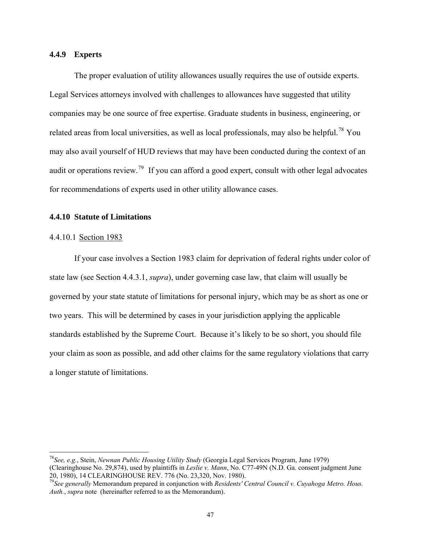#### <span id="page-50-0"></span>**4.4.9 Experts**

The proper evaluation of utility allowances usually requires the use of outside experts. Legal Services attorneys involved with challenges to allowances have suggested that utility companies may be one source of free expertise. Graduate students in business, engineering, or related areas from local universities, as well as local professionals, may also be helpful.<sup>[78](#page-50-1)</sup> You may also avail yourself of HUD reviews that may have been conducted during the context of an audit or operations review.<sup>[79](#page-50-2)</sup> If you can afford a good expert, consult with other legal advocates for recommendations of experts used in other utility allowance cases.

#### **4.4.10 Statute of Limitations**

#### 4.4.10.1 Section 1983

1

If your case involves a Section 1983 claim for deprivation of federal rights under color of state law (see Section 4.4.3.1, *supra*), under governing case law, that claim will usually be governed by your state statute of limitations for personal injury, which may be as short as one or two years. This will be determined by cases in your jurisdiction applying the applicable standards established by the Supreme Court. Because it's likely to be so short, you should file your claim as soon as possible, and add other claims for the same regulatory violations that carry a longer statute of limitations.

<span id="page-50-1"></span><sup>78</sup>*See, e.g.*, Stein, *Newnan Public Housing Utility Study* (Georgia Legal Services Program, June 1979) (Clearinghouse No. 29,874), used by plaintiffs in *Leslie v. Mann*, No. C77-49N (N.D. Ga. consent judgment June 20, 1980), 14 CLEARINGHOUSE REV. 776 (No. 23,320, Nov. 1980).

<span id="page-50-2"></span><sup>79</sup>*See generally* Memorandum prepared in conjunction with *Residents' Central Council v. Cuyahoga Metro. Hous. Auth.*, *supra* note (hereinafter referred to as the Memorandum).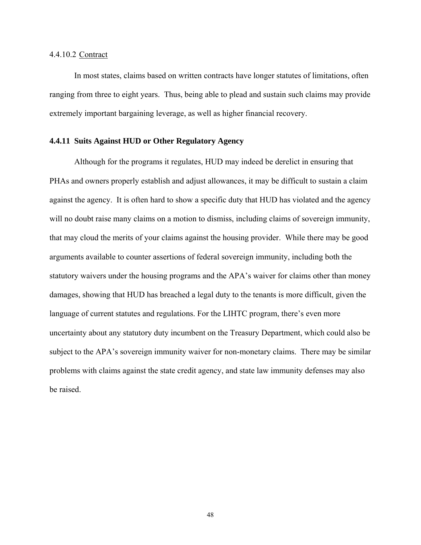#### <span id="page-51-0"></span>4.4.10.2 Contract

In most states, claims based on written contracts have longer statutes of limitations, often ranging from three to eight years. Thus, being able to plead and sustain such claims may provide extremely important bargaining leverage, as well as higher financial recovery.

#### **4.4.11 Suits Against HUD or Other Regulatory Agency**

Although for the programs it regulates, HUD may indeed be derelict in ensuring that PHAs and owners properly establish and adjust allowances, it may be difficult to sustain a claim against the agency. It is often hard to show a specific duty that HUD has violated and the agency will no doubt raise many claims on a motion to dismiss, including claims of sovereign immunity, that may cloud the merits of your claims against the housing provider. While there may be good arguments available to counter assertions of federal sovereign immunity, including both the statutory waivers under the housing programs and the APA's waiver for claims other than money damages, showing that HUD has breached a legal duty to the tenants is more difficult, given the language of current statutes and regulations. For the LIHTC program, there's even more uncertainty about any statutory duty incumbent on the Treasury Department, which could also be subject to the APA's sovereign immunity waiver for non-monetary claims. There may be similar problems with claims against the state credit agency, and state law immunity defenses may also be raised.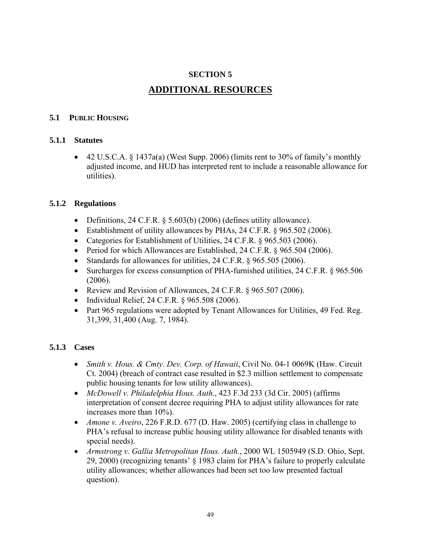## **SECTION 5**

## **ADDITIONAL RESOURCES**

## <span id="page-52-1"></span><span id="page-52-0"></span>**5.1 PUBLIC HOUSING**

## **5.1.1 Statutes**

• 42 U.S.C.A.  $\S$  1437a(a) (West Supp. 2006) (limits rent to 30% of family's monthly adjusted income, and HUD has interpreted rent to include a reasonable allowance for utilities).

## **5.1.2 Regulations**

- Definitions, 24 C.F.R.  $\S$  5.603(b) (2006) (defines utility allowance).
- Establishment of utility allowances by PHAs, 24 C.F.R. § 965.502 (2006).
- Categories for Establishment of Utilities, 24 C.F.R. § 965.503 (2006).
- Period for which Allowances are Established, 24 C.F.R. § 965.504 (2006).
- Standards for allowances for utilities, 24 C.F.R. § 965.505 (2006).
- Surcharges for excess consumption of PHA-furnished utilities, 24 C.F.R. § 965.506 (2006).
- Review and Revision of Allowances, 24 C.F.R. § 965.507 (2006).
- Individual Relief, 24 C.F.R. § 965.508 (2006).
- Part 965 regulations were adopted by Tenant Allowances for Utilities, 49 Fed. Reg. 31,399, 31,400 (Aug. 7, 1984).

## **5.1.3 Cases**

- *Smith v. Hous. & Cmty. Dev. Corp. of Hawaii*, Civil No. 04-1 0069K (Haw. Circuit Ct. 2004) (breach of contract case resulted in \$2.3 million settlement to compensate public housing tenants for low utility allowances).
- *McDowell v. Philadelphia Hous. Auth.*, 423 F.3d 233 (3d Cir. 2005) (affirms interpretation of consent decree requiring PHA to adjust utility allowances for rate increases more than 10%).
- *Amone v. Aveiro*, 226 F.R.D. 677 (D. Haw. 2005) (certifying class in challenge to PHA's refusal to increase public housing utility allowance for disabled tenants with special needs).
- *Armstrong v. Gallia Metropolitan Hous. Auth.*, 2000 WL 1505949 (S.D. Ohio, Sept. 29, 2000) (recognizing tenants' § 1983 claim for PHA's failure to properly calculate utility allowances; whether allowances had been set too low presented factual question).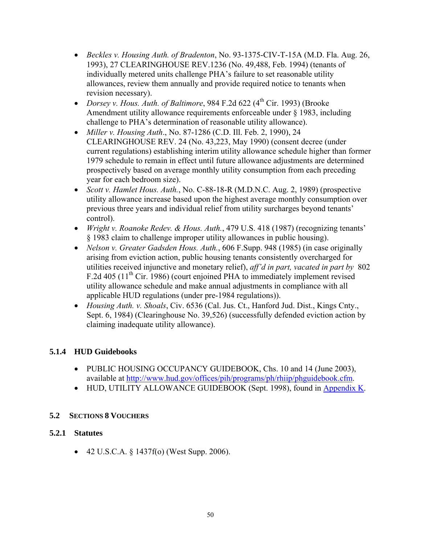- <span id="page-53-0"></span>• *Beckles v. Housing Auth. of Bradenton*, No. 93-1375-CIV-T-15A (M.D. Fla. Aug. 26, 1993), 27 CLEARINGHOUSE REV.1236 (No. 49,488, Feb. 1994) (tenants of individually metered units challenge PHA's failure to set reasonable utility allowances, review them annually and provide required notice to tenants when revision necessary).
- *Dorsey v. Hous. Auth. of Baltimore*, 984 F.2d 622 (4<sup>th</sup> Cir. 1993) (Brooke Amendment utility allowance requirements enforceable under § 1983, including challenge to PHA's determination of reasonable utility allowance).
- *Miller v. Housing Auth*., No. 87-1286 (C.D. Ill. Feb. 2, 1990), 24 CLEARINGHOUSE REV. 24 (No. 43,223, May 1990) (consent decree (under current regulations) establishing interim utility allowance schedule higher than former 1979 schedule to remain in effect until future allowance adjustments are determined prospectively based on average monthly utility consumption from each preceding year for each bedroom size).
- *Scott v. Hamlet Hous. Auth.*, No. C-88-18-R (M.D.N.C. Aug. 2, 1989) (prospective utility allowance increase based upon the highest average monthly consumption over previous three years and individual relief from utility surcharges beyond tenants' control).
- *Wright v. Roanoke Redev. & Hous. Auth.*, 479 U.S. 418 (1987) (recognizing tenants' § 1983 claim to challenge improper utility allowances in public housing).
- *Nelson v. Greater Gadsden Hous. Auth.*, 606 F.Supp. 948 (1985) (in case originally arising from eviction action, public housing tenants consistently overcharged for utilities received injunctive and monetary relief), *aff'd in part, vacated in part by* 802 F.2d 405 (11<sup>th</sup> Cir. 1986) (court enjoined PHA to immediately implement revised utility allowance schedule and make annual adjustments in compliance with all applicable HUD regulations (under pre-1984 regulations)).
- *Housing Auth. v. Shoals*, Civ. 6536 (Cal. Jus. Ct., Hanford Jud. Dist., Kings Cnty., Sept. 6, 1984) (Clearinghouse No. 39,526) (successfully defended eviction action by claiming inadequate utility allowance).

## **5.1.4 HUD Guidebooks**

- PUBLIC HOUSING OCCUPANCY GUIDEBOOK, Chs. 10 and 14 (June 2003), available at [http://www.hud.gov/offices/pih/programs/ph/rhiip/phguidebook.cfm.](http://www.hud.gov/offices/pih/programs/ph/rhiip/phguidebook.cfm)
- HUD, UTILITY ALLOWANCE GUIDEBOOK (Sept. 1998), found in Appendix K.

## **5.2 SECTIONS 8 VOUCHERS**

## **5.2.1 Statutes**

• 42 U.S.C.A.  $\S$  1437f(o) (West Supp. 2006).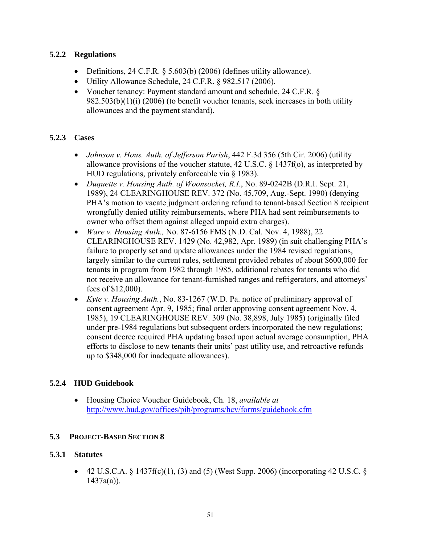## <span id="page-54-0"></span>**5.2.2 Regulations**

- Definitions, 24 C.F.R. § 5.603(b) (2006) (defines utility allowance).
- Utility Allowance Schedule, 24 C.F.R. § 982.517 (2006).
- Voucher tenancy: Payment standard amount and schedule, 24 C.F.R. § 982.503(b)(1)(i) (2006) (to benefit voucher tenants, seek increases in both utility allowances and the payment standard).

## **5.2.3 Cases**

- *Johnson v. Hous. Auth. of Jefferson Parish*, 442 F.3d 356 (5th Cir. 2006) (utility allowance provisions of the voucher statute, 42 U.S.C. § 1437f(o), as interpreted by HUD regulations, privately enforceable via § 1983).
- *Duquette v. Housing Auth. of Woonsocket, R.I.*, No. 89-0242B (D.R.I. Sept. 21, 1989), 24 CLEARINGHOUSE REV. 372 (No. 45,709, Aug.-Sept. 1990) (denying PHA's motion to vacate judgment ordering refund to tenant-based Section 8 recipient wrongfully denied utility reimbursements, where PHA had sent reimbursements to owner who offset them against alleged unpaid extra charges).
- *Ware v. Housing Auth.,* No. 87-6156 FMS (N.D. Cal. Nov. 4, 1988), 22 CLEARINGHOUSE REV. 1429 (No. 42,982, Apr. 1989) (in suit challenging PHA's failure to properly set and update allowances under the 1984 revised regulations, largely similar to the current rules, settlement provided rebates of about \$600,000 for tenants in program from 1982 through 1985, additional rebates for tenants who did not receive an allowance for tenant-furnished ranges and refrigerators, and attorneys' fees of \$12,000).
- *Kyte v. Housing Auth.*, No. 83-1267 (W.D. Pa. notice of preliminary approval of consent agreement Apr. 9, 1985; final order approving consent agreement Nov. 4, 1985), 19 CLEARINGHOUSE REV. 309 (No. 38,898, July 1985) (originally filed under pre-1984 regulations but subsequent orders incorporated the new regulations; consent decree required PHA updating based upon actual average consumption, PHA efforts to disclose to new tenants their units' past utility use, and retroactive refunds up to \$348,000 for inadequate allowances).

## **5.2.4 HUD Guidebook**

• Housing Choice Voucher Guidebook, Ch. 18, *available at* <http://www.hud.gov/offices/pih/programs/hcv/forms/guidebook.cfm>

## **5.3 PROJECT-BASED SECTION 8**

## <span id="page-54-1"></span>**5.3.1 Statutes**

• 42 U.S.C.A.  $\S$  1437f(c)(1), (3) and (5) (West Supp. 2006) (incorporating 42 U.S.C.  $\S$  $1437a(a)$ ).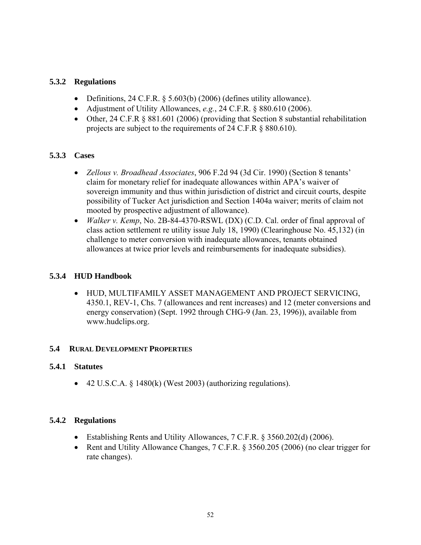## <span id="page-55-0"></span>**5.3.2 Regulations**

- Definitions, 24 C.F.R. § 5.603(b) (2006) (defines utility allowance).
- Adjustment of Utility Allowances, *e.g.*, 24 C.F.R. § 880.610 (2006).
- Other, 24 C.F.R § 881.601 (2006) (providing that Section 8 substantial rehabilitation projects are subject to the requirements of 24 C.F.R § 880.610).

## **5.3.3 Cases**

- *Zellous v. Broadhead Associates*, 906 F.2d 94 (3d Cir. 1990) (Section 8 tenants' claim for monetary relief for inadequate allowances within APA's waiver of sovereign immunity and thus within jurisdiction of district and circuit courts, despite possibility of Tucker Act jurisdiction and Section 1404a waiver; merits of claim not mooted by prospective adjustment of allowance).
- *Walker v. Kemp*, No. 2B-84-4370-RSWL (DX) (C.D. Cal. order of final approval of class action settlement re utility issue July 18, 1990) (Clearinghouse No. 45,132) (in challenge to meter conversion with inadequate allowances, tenants obtained allowances at twice prior levels and reimbursements for inadequate subsidies).

## **5.3.4 HUD Handbook**

• HUD, MULTIFAMILY ASSET MANAGEMENT AND PROJECT SERVICING, 4350.1, REV-1, Chs. 7 (allowances and rent increases) and 12 (meter conversions and energy conservation) (Sept. 1992 through CHG-9 (Jan. 23, 1996)), available from www.hudclips.org.

## **5.4 RURAL DEVELOPMENT PROPERTIES**

## **5.4.1 Statutes**

• 42 U.S.C.A.  $\frac{1480(k)}{West 2003}$  (authorizing regulations).

## **5.4.2 Regulations**

- Establishing Rents and Utility Allowances, 7 C.F.R. § 3560.202(d) (2006).
- Rent and Utility Allowance Changes, 7 C.F.R. § 3560.205 (2006) (no clear trigger for rate changes).